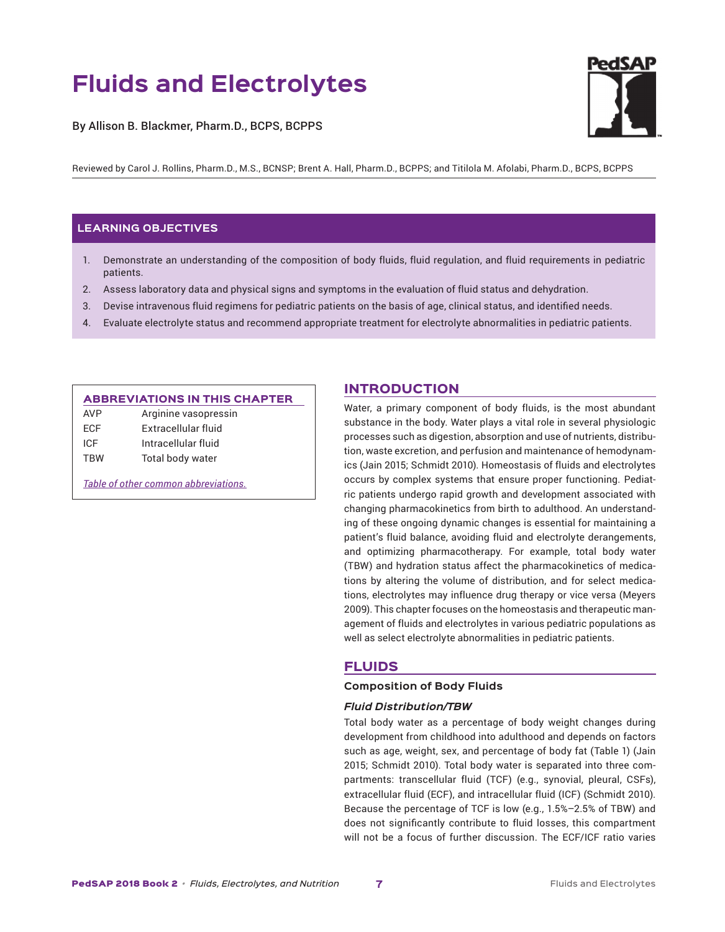# **Fluids and Electrolytes**

By Allison B. Blackmer, Pharm.D., BCPS, BCPPS



Reviewed by Carol J. Rollins, Pharm.D., M.S., BCNSP; Brent A. Hall, Pharm.D., BCPPS; and Titilola M. Afolabi, Pharm.D., BCPS, BCPPS

# **LEARNING OBJECTIVES**

- 1. Demonstrate an understanding of the composition of body fluids, fluid regulation, and fluid requirements in pediatric patients.
- 2. Assess laboratory data and physical signs and symptoms in the evaluation of fluid status and dehydration.
- 3. Devise intravenous fluid regimens for pediatric patients on the basis of age, clinical status, and identified needs.
- 4. Evaluate electrolyte status and recommend appropriate treatment for electrolyte abnormalities in pediatric patients.

#### ABBREVIATIONS IN THIS CHAPTER

| <b>AVP</b> | Arginine vasopressin |
|------------|----------------------|
| ECF        | Extracellular fluid  |
| ICE        | Intracellular fluid  |
| TBW        | Total body water     |

*[Table of other common abbreviations.](http://www.accp.com/docs/sap/Lab_Values_Table_PedSAP.pdf)*

# INTRODUCTION

Water, a primary component of body fluids, is the most abundant substance in the body. Water plays a vital role in several physiologic processes such as digestion, absorption and use of nutrients, distribution, waste excretion, and perfusion and maintenance of hemodynamics (Jain 2015; Schmidt 2010). Homeostasis of fluids and electrolytes occurs by complex systems that ensure proper functioning. Pediatric patients undergo rapid growth and development associated with changing pharmacokinetics from birth to adulthood. An understanding of these ongoing dynamic changes is essential for maintaining a patient's fluid balance, avoiding fluid and electrolyte derangements, and optimizing pharmacotherapy. For example, total body water (TBW) and hydration status affect the pharmacokinetics of medications by altering the volume of distribution, and for select medications, electrolytes may influence drug therapy or vice versa (Meyers 2009). This chapter focuses on the homeostasis and therapeutic management of fluids and electrolytes in various pediatric populations as well as select electrolyte abnormalities in pediatric patients.

# FLUIDS

## **Composition of Body Fluids**

# *Fluid Distribution/TBW*

Total body water as a percentage of body weight changes during development from childhood into adulthood and depends on factors such as age, weight, sex, and percentage of body fat (Table 1) (Jain 2015; Schmidt 2010). Total body water is separated into three compartments: transcellular fluid (TCF) (e.g., synovial, pleural, CSFs), extracellular fluid (ECF), and intracellular fluid (ICF) (Schmidt 2010). Because the percentage of TCF is low (e.g., 1.5%–2.5% of TBW) and does not significantly contribute to fluid losses, this compartment will not be a focus of further discussion. The ECF/ICF ratio varies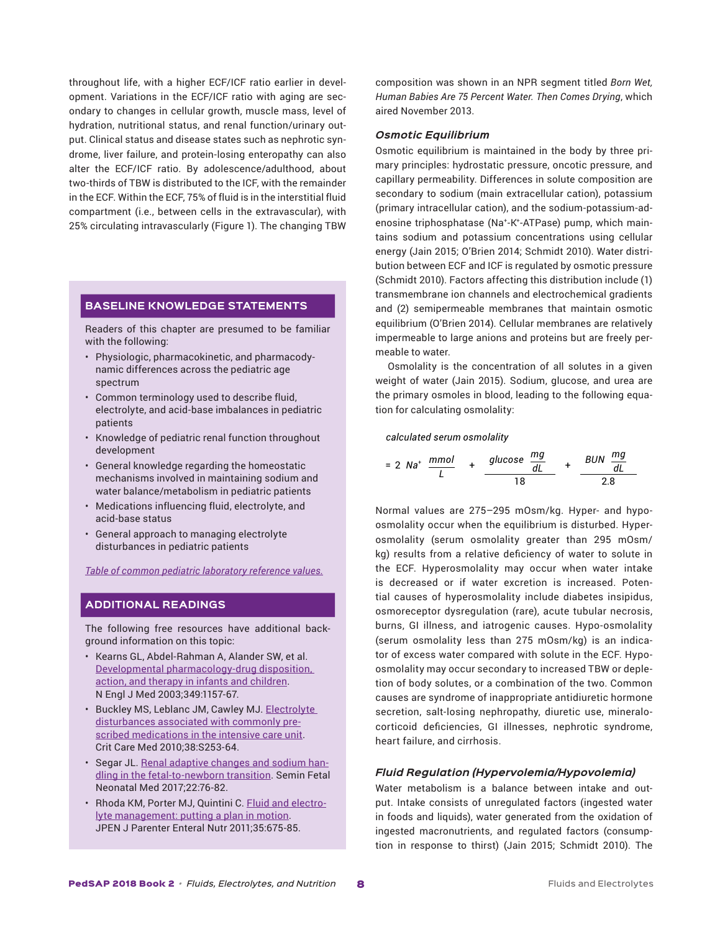throughout life, with a higher ECF/ICF ratio earlier in development. Variations in the ECF/ICF ratio with aging are secondary to changes in cellular growth, muscle mass, level of hydration, nutritional status, and renal function/urinary output. Clinical status and disease states such as nephrotic syndrome, liver failure, and protein-losing enteropathy can also alter the ECF/ICF ratio. By adolescence/adulthood, about two-thirds of TBW is distributed to the ICF, with the remainder in the ECF. Within the ECF, 75% of fluid is in the interstitial fluid compartment (i.e., between cells in the extravascular), with 25% circulating intravascularly (Figure 1). The changing TBW

# **BASELINE KNOWLEDGE STATEMENTS**

Readers of this chapter are presumed to be familiar with the following:

- Physiologic, pharmacokinetic, and pharmacodynamic differences across the pediatric age spectrum
- Common terminology used to describe fluid, electrolyte, and acid-base imbalances in pediatric patients
- Knowledge of pediatric renal function throughout development
- General knowledge regarding the homeostatic mechanisms involved in maintaining sodium and water balance/metabolism in pediatric patients
- Medications influencing fluid, electrolyte, and acid-base status
- General approach to managing electrolyte disturbances in pediatric patients

*[Table of common pediatric laboratory reference values.](http://www.accp.com/docs/sap/Lab_Values_Table_PedSAP.pdf)*

# **ADDITIONAL READINGS**

The following free resources have additional background information on this topic:

- Kearns GL, Abdel-Rahman A, Alander SW, et al. Developmental [pharmacology-drug](https://www.ncbi.nlm.nih.gov/pubmed/13679531) disposition, action, and therapy in infants and [children](https://www.ncbi.nlm.nih.gov/pubmed/13679531). N Engl J Med 2003;349:1157-67.
- Buckley MS, Leblanc JM, Cawley MJ. [Electrolyte](https://www.ncbi.nlm.nih.gov/pubmed/20502178) [disturbances](https://www.ncbi.nlm.nih.gov/pubmed/20502178) associated with commonly prescribed [medications](https://www.ncbi.nlm.nih.gov/pubmed/20502178) in the intensive care unit. Crit Care Med 2010;38:S253-64.
- Segar JL. Renal [adaptive](https://www.ncbi.nlm.nih.gov/pubmed/27881286) changes and sodium handling in the [fetal-to-newborn](https://www.ncbi.nlm.nih.gov/pubmed/27881286) transition. Semin Fetal Neonatal Med 2017;22:76-82.
- Rhoda KM, Porter MJ, Quintini C. Fluid and [electro](https://www.ncbi.nlm.nih.gov/pubmed/22042047)lyte [management:](https://www.ncbi.nlm.nih.gov/pubmed/22042047) putting a plan in motion. JPEN J Parenter Enteral Nutr 2011;35:675-85.

composition was shown in an NPR segment titled *[Born Wet,](http://www.npr.org/sections/krulwich/2013/11/25/247212488/born-wet-human-babies-are-75-percent-water-then-comes-drying) [Human Babies Are 75 Percent Water. Then Comes Drying](http://www.npr.org/sections/krulwich/2013/11/25/247212488/born-wet-human-babies-are-75-percent-water-then-comes-drying)*, which aired November 2013.

# *Osmotic Equilibrium*

Osmotic equilibrium is maintained in the body by three primary principles: hydrostatic pressure, oncotic pressure, and capillary permeability. Differences in solute composition are secondary to sodium (main extracellular cation), potassium (primary intracellular cation), and the sodium-potassium-adenosine triphosphatase (Na+-K+-ATPase) pump, which maintains sodium and potassium concentrations using cellular energy (Jain 2015; O'Brien 2014; Schmidt 2010). Water distribution between ECF and ICF is regulated by osmotic pressure (Schmidt 2010). Factors affecting this distribution include (1) transmembrane ion channels and electrochemical gradients and (2) semipermeable membranes that maintain osmotic equilibrium (O'Brien 2014). Cellular membranes are relatively impermeable to large anions and proteins but are freely permeable to water.

Osmolality is the concentration of all solutes in a given weight of water (Jain 2015). Sodium, glucose, and urea are the primary osmoles in blood, leading to the following equation for calculating osmolality:

*calculated serum osmolality*

$$
= 2 \text{ Na}^+ \frac{mmol}{L} + \frac{glucose \frac{mg}{dl}}{18} + \frac{BUN \frac{mg}{dl}}{2.8}
$$

Normal values are 275–295 mOsm/kg. Hyper- and hypoosmolality occur when the equilibrium is disturbed. Hyperosmolality (serum osmolality greater than 295 mOsm/ kg) results from a relative deficiency of water to solute in the ECF. Hyperosmolality may occur when water intake is decreased or if water excretion is increased. Potential causes of hyperosmolality include diabetes insipidus, osmoreceptor dysregulation (rare), acute tubular necrosis, burns, GI illness, and iatrogenic causes. Hypo-osmolality (serum osmolality less than 275 mOsm/kg) is an indicator of excess water compared with solute in the ECF. Hypoosmolality may occur secondary to increased TBW or depletion of body solutes, or a combination of the two. Common causes are syndrome of inappropriate antidiuretic hormone secretion, salt-losing nephropathy, diuretic use, mineralocorticoid deficiencies, GI illnesses, nephrotic syndrome, heart failure, and cirrhosis.

# *Fluid Regulation (Hypervolemia/Hypovolemia)*

Water metabolism is a balance between intake and output. Intake consists of unregulated factors (ingested water in foods and liquids), water generated from the oxidation of ingested macronutrients, and regulated factors (consumption in response to thirst) (Jain 2015; Schmidt 2010). The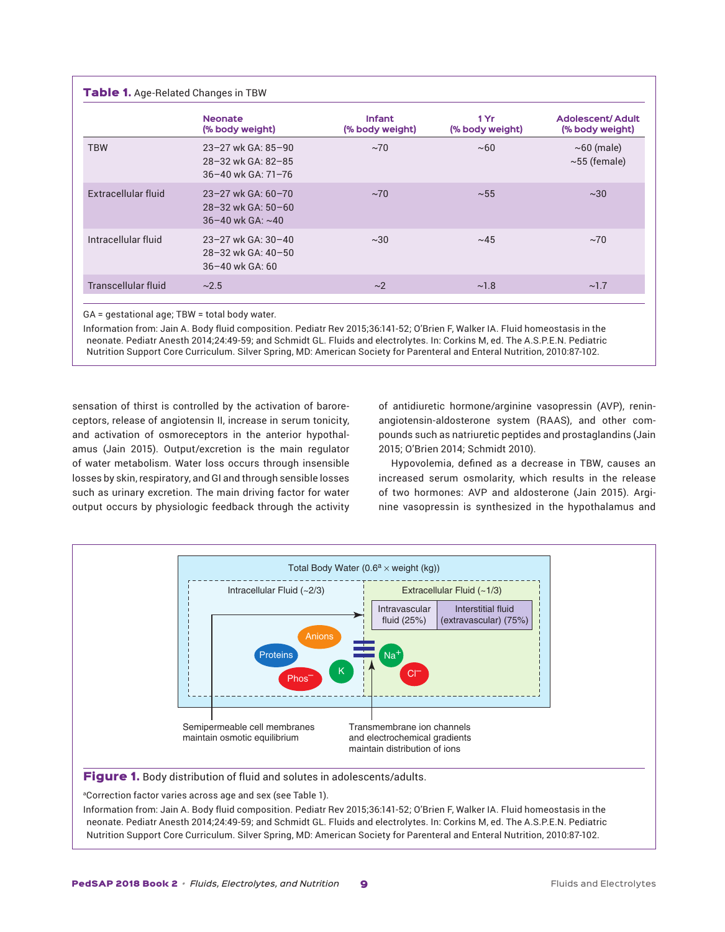|                     | <b>Neonate</b><br>(% body weight)                                                  | <b>Infant</b><br>(% body weight) | 1 Yr<br>(% body weight) | <b>Adolescent/Adult</b><br>(% body weight) |
|---------------------|------------------------------------------------------------------------------------|----------------------------------|-------------------------|--------------------------------------------|
| <b>TBW</b>          | 23-27 wk GA: 85-90<br>28-32 wk GA: 82-85<br>36-40 wk GA: 71-76                     | $~1$ ~70                         | ~100                    | $\sim$ 60 (male)<br>$\sim$ 55 (female)     |
| Extracellular fluid | $23 - 27$ wk GA: 60-70<br>$28 - 32$ wk GA: $50 - 60$<br>$36 - 40$ wk GA: $\sim$ 40 | $~1$ ~70                         | $~1$ $~55$              | $~1$ $~30$                                 |
| Intracellular fluid | $23 - 27$ wk GA: $30 - 40$<br>28-32 wk GA: 40-50<br>$36 - 40$ wk GA: 60            | $~1$ $~30$                       | ~1.45                   | $~1$ ~70                                   |
| Transcellular fluid | ~2.5                                                                               | $\sim$ 2                         | ~1.8                    | ~1.7                                       |

GA = gestational age; TBW = total body water.

Information from: Jain A. Body fluid composition. Pediatr Rev 2015;36:141-52; O'Brien F, Walker IA. Fluid homeostasis in the neonate. Pediatr Anesth 2014;24:49-59; and Schmidt GL. Fluids and electrolytes. In: Corkins M, ed. The A.S.P.E.N. Pediatric Nutrition Support Core Curriculum. Silver Spring, MD: American Society for Parenteral and Enteral Nutrition, 2010:87-102.

sensation of thirst is controlled by the activation of baroreceptors, release of angiotensin II, increase in serum tonicity, and activation of osmoreceptors in the anterior hypothalamus (Jain 2015). Output/excretion is the main regulator of water metabolism. Water loss occurs through insensible losses by skin, respiratory, and GI and through sensible losses such as urinary excretion. The main driving factor for water output occurs by physiologic feedback through the activity

of antidiuretic hormone/arginine vasopressin (AVP), reninangiotensin-aldosterone system (RAAS), and other compounds such as natriuretic peptides and prostaglandins (Jain 2015; O'Brien 2014; Schmidt 2010).

Hypovolemia, defined as a decrease in TBW, causes an increased serum osmolarity, which results in the release of two hormones: AVP and aldosterone (Jain 2015). Arginine vasopressin is synthesized in the hypothalamus and

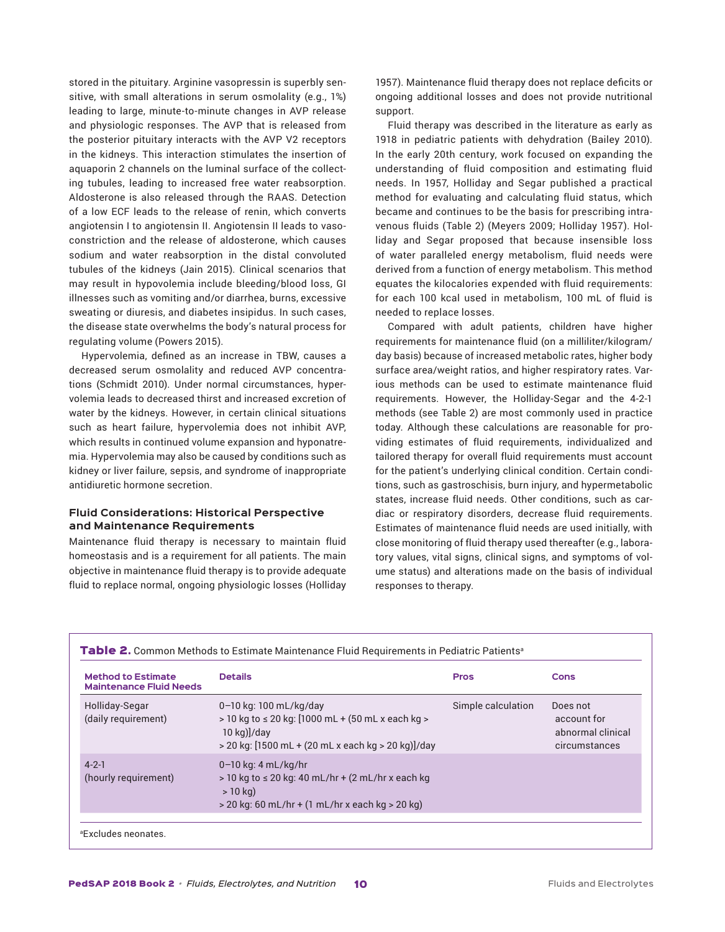stored in the pituitary. Arginine vasopressin is superbly sensitive, with small alterations in serum osmolality (e.g., 1%) leading to large, minute-to-minute changes in AVP release and physiologic responses. The AVP that is released from the posterior pituitary interacts with the AVP V2 receptors in the kidneys. This interaction stimulates the insertion of aquaporin 2 channels on the luminal surface of the collecting tubules, leading to increased free water reabsorption. Aldosterone is also released through the RAAS. Detection of a low ECF leads to the release of renin, which converts angiotensin I to angiotensin II. Angiotensin II leads to vasoconstriction and the release of aldosterone, which causes sodium and water reabsorption in the distal convoluted tubules of the kidneys (Jain 2015). Clinical scenarios that may result in hypovolemia include bleeding/blood loss, GI illnesses such as vomiting and/or diarrhea, burns, excessive sweating or diuresis, and diabetes insipidus. In such cases, the disease state overwhelms the body's natural process for regulating volume (Powers 2015).

Hypervolemia, defined as an increase in TBW, causes a decreased serum osmolality and reduced AVP concentrations (Schmidt 2010). Under normal circumstances, hypervolemia leads to decreased thirst and increased excretion of water by the kidneys. However, in certain clinical situations such as heart failure, hypervolemia does not inhibit AVP, which results in continued volume expansion and hyponatremia. Hypervolemia may also be caused by conditions such as kidney or liver failure, sepsis, and syndrome of inappropriate antidiuretic hormone secretion.

# **Fluid Considerations: Historical Perspective and Maintenance Requirements**

Maintenance fluid therapy is necessary to maintain fluid homeostasis and is a requirement for all patients. The main objective in maintenance fluid therapy is to provide adequate fluid to replace normal, ongoing physiologic losses (Holliday

1957). Maintenance fluid therapy does not replace deficits or ongoing additional losses and does not provide nutritional support.

Fluid therapy was described in the literature as early as 1918 in pediatric patients with dehydration (Bailey 2010). In the early 20th century, work focused on expanding the understanding of fluid composition and estimating fluid needs. In 1957, Holliday and Segar published a practical method for evaluating and calculating fluid status, which became and continues to be the basis for prescribing intravenous fluids (Table 2) (Meyers 2009; Holliday 1957). Holliday and Segar proposed that because insensible loss of water paralleled energy metabolism, fluid needs were derived from a function of energy metabolism. This method equates the kilocalories expended with fluid requirements: for each 100 kcal used in metabolism, 100 mL of fluid is needed to replace losses.

Compared with adult patients, children have higher requirements for maintenance fluid (on a milliliter/kilogram/ day basis) because of increased metabolic rates, higher body surface area/weight ratios, and higher respiratory rates. Various methods can be used to estimate maintenance fluid requirements. However, the Holliday-Segar and the 4-2-1 methods (see Table 2) are most commonly used in practice today. Although these calculations are reasonable for providing estimates of fluid requirements, individualized and tailored therapy for overall fluid requirements must account for the patient's underlying clinical condition. Certain conditions, such as gastroschisis, burn injury, and hypermetabolic states, increase fluid needs. Other conditions, such as cardiac or respiratory disorders, decrease fluid requirements. Estimates of maintenance fluid needs are used initially, with close monitoring of fluid therapy used thereafter (e.g., laboratory values, vital signs, clinical signs, and symptoms of volume status) and alterations made on the basis of individual responses to therapy.

| <b>Method to Estimate</b><br><b>Maintenance Fluid Needs</b> | <b>Details</b>                                                                                                                                                                | <b>Pros</b>        | <b>Cons</b>                                                   |
|-------------------------------------------------------------|-------------------------------------------------------------------------------------------------------------------------------------------------------------------------------|--------------------|---------------------------------------------------------------|
| Holliday-Segar<br>(daily requirement)                       | 0-10 kg: 100 mL/kg/day<br>$>$ 10 kg to $\leq$ 20 kg: [1000 mL + (50 mL x each kg $>$<br>$10$ kg) $\frac{1}{\text{day}}$<br>> 20 kg: [1500 mL + (20 mL x each kg > 20 kg)]/day | Simple calculation | Does not<br>account for<br>abnormal clinical<br>circumstances |
| $4 - 2 - 1$<br>(hourly requirement)                         | $0-10$ kg: 4 mL/kg/hr<br>$>$ 10 kg to $\leq$ 20 kg: 40 mL/hr + (2 mL/hr x each kg<br>$>10$ kg)<br>$>$ 20 kg: 60 mL/hr + (1 mL/hr x each kg $>$ 20 kg)                         |                    |                                                               |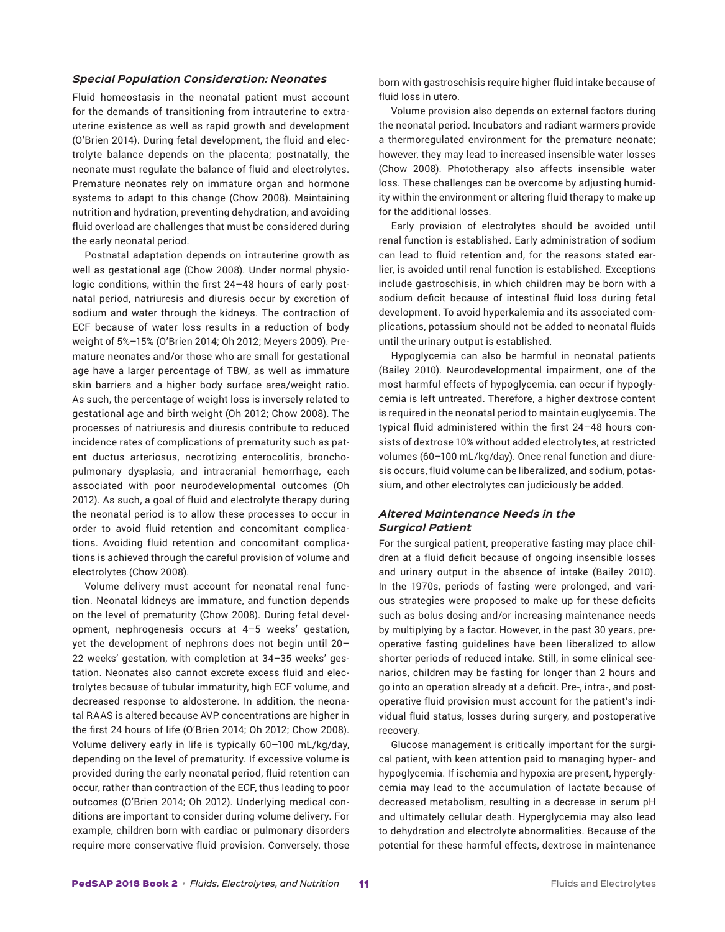#### *Special Population Consideration: Neonates*

Fluid homeostasis in the neonatal patient must account for the demands of transitioning from intrauterine to extrauterine existence as well as rapid growth and development (O'Brien 2014). During fetal development, the fluid and electrolyte balance depends on the placenta; postnatally, the neonate must regulate the balance of fluid and electrolytes. Premature neonates rely on immature organ and hormone systems to adapt to this change (Chow 2008). Maintaining nutrition and hydration, preventing dehydration, and avoiding fluid overload are challenges that must be considered during the early neonatal period.

Postnatal adaptation depends on intrauterine growth as well as gestational age (Chow 2008). Under normal physiologic conditions, within the first 24–48 hours of early postnatal period, natriuresis and diuresis occur by excretion of sodium and water through the kidneys. The contraction of ECF because of water loss results in a reduction of body weight of 5%–15% (O'Brien 2014; Oh 2012; Meyers 2009). Premature neonates and/or those who are small for gestational age have a larger percentage of TBW, as well as immature skin barriers and a higher body surface area/weight ratio. As such, the percentage of weight loss is inversely related to gestational age and birth weight (Oh 2012; Chow 2008). The processes of natriuresis and diuresis contribute to reduced incidence rates of complications of prematurity such as patent ductus arteriosus, necrotizing enterocolitis, bronchopulmonary dysplasia, and intracranial hemorrhage, each associated with poor neurodevelopmental outcomes (Oh 2012). As such, a goal of fluid and electrolyte therapy during the neonatal period is to allow these processes to occur in order to avoid fluid retention and concomitant complications. Avoiding fluid retention and concomitant complications is achieved through the careful provision of volume and electrolytes (Chow 2008).

Volume delivery must account for neonatal renal function. Neonatal kidneys are immature, and function depends on the level of prematurity (Chow 2008). During fetal development, nephrogenesis occurs at 4–5 weeks' gestation, yet the development of nephrons does not begin until 20– 22 weeks' gestation, with completion at 34–35 weeks' gestation. Neonates also cannot excrete excess fluid and electrolytes because of tubular immaturity, high ECF volume, and decreased response to aldosterone. In addition, the neonatal RAAS is altered because AVP concentrations are higher in the first 24 hours of life (O'Brien 2014; Oh 2012; Chow 2008). Volume delivery early in life is typically 60–100 mL/kg/day, depending on the level of prematurity. If excessive volume is provided during the early neonatal period, fluid retention can occur, rather than contraction of the ECF, thus leading to poor outcomes (O'Brien 2014; Oh 2012). Underlying medical conditions are important to consider during volume delivery. For example, children born with cardiac or pulmonary disorders require more conservative fluid provision. Conversely, those

born with gastroschisis require higher fluid intake because of fluid loss in utero.

Volume provision also depends on external factors during the neonatal period. Incubators and radiant warmers provide a thermoregulated environment for the premature neonate; however, they may lead to increased insensible water losses (Chow 2008). Phototherapy also affects insensible water loss. These challenges can be overcome by adjusting humidity within the environment or altering fluid therapy to make up for the additional losses.

Early provision of electrolytes should be avoided until renal function is established. Early administration of sodium can lead to fluid retention and, for the reasons stated earlier, is avoided until renal function is established. Exceptions include gastroschisis, in which children may be born with a sodium deficit because of intestinal fluid loss during fetal development. To avoid hyperkalemia and its associated complications, potassium should not be added to neonatal fluids until the urinary output is established.

Hypoglycemia can also be harmful in neonatal patients (Bailey 2010). Neurodevelopmental impairment, one of the most harmful effects of hypoglycemia, can occur if hypoglycemia is left untreated. Therefore, a higher dextrose content is required in the neonatal period to maintain euglycemia. The typical fluid administered within the first 24–48 hours consists of dextrose 10% without added electrolytes, at restricted volumes (60–100 mL/kg/day). Once renal function and diuresis occurs, fluid volume can be liberalized, and sodium, potassium, and other electrolytes can judiciously be added.

# *Altered Maintenance Needs in the Surgical Patient*

For the surgical patient, preoperative fasting may place children at a fluid deficit because of ongoing insensible losses and urinary output in the absence of intake (Bailey 2010). In the 1970s, periods of fasting were prolonged, and various strategies were proposed to make up for these deficits such as bolus dosing and/or increasing maintenance needs by multiplying by a factor. However, in the past 30 years, preoperative fasting guidelines have been liberalized to allow shorter periods of reduced intake. Still, in some clinical scenarios, children may be fasting for longer than 2 hours and go into an operation already at a deficit. Pre-, intra-, and postoperative fluid provision must account for the patient's individual fluid status, losses during surgery, and postoperative recovery.

Glucose management is critically important for the surgical patient, with keen attention paid to managing hyper- and hypoglycemia. If ischemia and hypoxia are present, hyperglycemia may lead to the accumulation of lactate because of decreased metabolism, resulting in a decrease in serum pH and ultimately cellular death. Hyperglycemia may also lead to dehydration and electrolyte abnormalities. Because of the potential for these harmful effects, dextrose in maintenance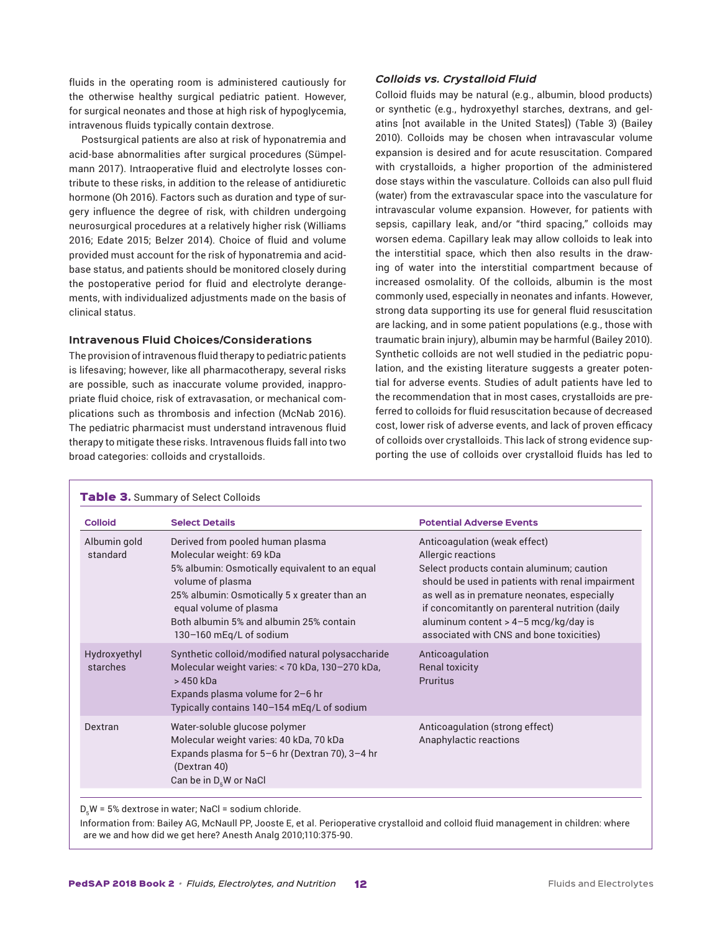fluids in the operating room is administered cautiously for the otherwise healthy surgical pediatric patient. However, for surgical neonates and those at high risk of hypoglycemia, intravenous fluids typically contain dextrose.

Postsurgical patients are also at risk of hyponatremia and acid-base abnormalities after surgical procedures (Sümpelmann 2017). Intraoperative fluid and electrolyte losses contribute to these risks, in addition to the release of antidiuretic hormone (Oh 2016). Factors such as duration and type of surgery influence the degree of risk, with children undergoing neurosurgical procedures at a relatively higher risk (Williams 2016; Edate 2015; Belzer 2014). Choice of fluid and volume provided must account for the risk of hyponatremia and acidbase status, and patients should be monitored closely during the postoperative period for fluid and electrolyte derangements, with individualized adjustments made on the basis of clinical status.

# **Intravenous Fluid Choices/Considerations**

The provision of intravenous fluid therapy to pediatric patients is lifesaving; however, like all pharmacotherapy, several risks are possible, such as inaccurate volume provided, inappropriate fluid choice, risk of extravasation, or mechanical complications such as thrombosis and infection (McNab 2016). The pediatric pharmacist must understand intravenous fluid therapy to mitigate these risks. Intravenous fluids fall into two broad categories: colloids and crystalloids.

#### *Colloids vs. Crystalloid Fluid*

Colloid fluids may be natural (e.g., albumin, blood products) or synthetic (e.g., hydroxyethyl starches, dextrans, and gelatins [not available in the United States]) (Table 3) (Bailey 2010). Colloids may be chosen when intravascular volume expansion is desired and for acute resuscitation. Compared with crystalloids, a higher proportion of the administered dose stays within the vasculature. Colloids can also pull fluid (water) from the extravascular space into the vasculature for intravascular volume expansion. However, for patients with sepsis, capillary leak, and/or "third spacing," colloids may worsen edema. Capillary leak may allow colloids to leak into the interstitial space, which then also results in the drawing of water into the interstitial compartment because of increased osmolality. Of the colloids, albumin is the most commonly used, especially in neonates and infants. However, strong data supporting its use for general fluid resuscitation are lacking, and in some patient populations (e.g., those with traumatic brain injury), albumin may be harmful (Bailey 2010). Synthetic colloids are not well studied in the pediatric population, and the existing literature suggests a greater potential for adverse events. Studies of adult patients have led to the recommendation that in most cases, crystalloids are preferred to colloids for fluid resuscitation because of decreased cost, lower risk of adverse events, and lack of proven efficacy of colloids over crystalloids. This lack of strong evidence supporting the use of colloids over crystalloid fluids has led to

| <b>Colloid</b>           | <b>Select Details</b>                                                                                                                                                                                                                                                              | <b>Potential Adverse Events</b>                                                                                                                                                                                                                                                                                                               |
|--------------------------|------------------------------------------------------------------------------------------------------------------------------------------------------------------------------------------------------------------------------------------------------------------------------------|-----------------------------------------------------------------------------------------------------------------------------------------------------------------------------------------------------------------------------------------------------------------------------------------------------------------------------------------------|
| Albumin gold<br>standard | Derived from pooled human plasma<br>Molecular weight: 69 kDa<br>5% albumin: Osmotically equivalent to an equal<br>volume of plasma<br>25% albumin: Osmotically 5 x greater than an<br>equal volume of plasma<br>Both albumin 5% and albumin 25% contain<br>130-160 mEg/L of sodium | Anticoagulation (weak effect)<br>Allergic reactions<br>Select products contain aluminum; caution<br>should be used in patients with renal impairment<br>as well as in premature neonates, especially<br>if concomitantly on parenteral nutrition (daily<br>aluminum content > $4-5$ mcg/kg/day is<br>associated with CNS and bone toxicities) |
| Hydroxyethyl<br>starches | Synthetic colloid/modified natural polysaccharide<br>Molecular weight varies: < 70 kDa, 130-270 kDa,<br>> 450 kDa<br>Expands plasma volume for 2-6 hr<br>Typically contains 140-154 mEq/L of sodium                                                                                | Anticoagulation<br><b>Renal toxicity</b><br>Pruritus                                                                                                                                                                                                                                                                                          |
| Dextran                  | Water-soluble glucose polymer<br>Molecular weight varies: 40 kDa, 70 kDa<br>Expands plasma for 5-6 hr (Dextran 70), 3-4 hr<br>(Dextran 40)<br>Can be in $D_{5}W$ or NaCl                                                                                                           | Anticoagulation (strong effect)<br>Anaphylactic reactions                                                                                                                                                                                                                                                                                     |

 $D_5W = 5\%$  dextrose in water; NaCl = sodium chloride.

Information from: Bailey AG, McNaull PP, Jooste E, et al. Perioperative crystalloid and colloid fluid management in children: where are we and how did we get here? Anesth Analg 2010;110:375-90.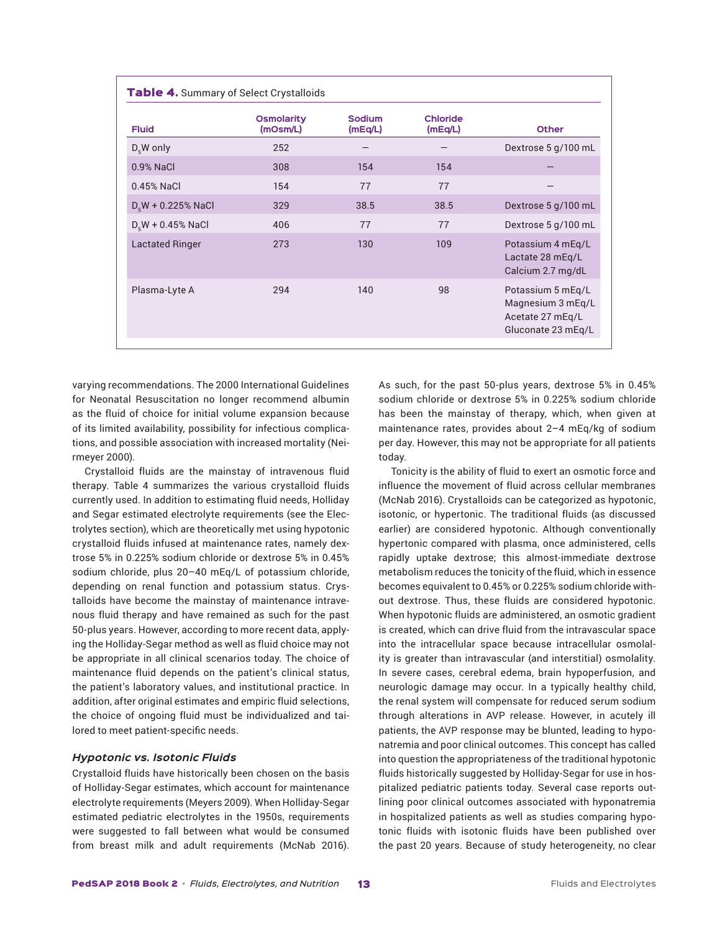| <b>Fluid</b>           | <b>Osmolarity</b><br>(mOsm/L) | Sodium<br>(mEq/L) | <b>Chloride</b><br>(mEq/L) | <b>Other</b>                                                                     |
|------------------------|-------------------------------|-------------------|----------------------------|----------------------------------------------------------------------------------|
| $D_{5}$ W only         | 252                           |                   |                            | Dextrose 5 g/100 mL                                                              |
| 0.9% NaCl              | 308                           | 154               | 154                        |                                                                                  |
| $0.45%$ NaCl           | 154                           | 77                | 77                         |                                                                                  |
| $D_{5}W$ + 0.225% NaCl | 329                           | 38.5              | 38.5                       | Dextrose 5 g/100 mL                                                              |
| $D_{5}W + 0.45\%$ NaCl | 406                           | 77                | 77                         | Dextrose 5 g/100 mL                                                              |
| <b>Lactated Ringer</b> | 273                           | 130               | 109                        | Potassium 4 mEg/L<br>Lactate 28 mEg/L<br>Calcium 2.7 mg/dL                       |
| Plasma-Lyte A          | 294                           | 140               | 98                         | Potassium 5 mEq/L<br>Magnesium 3 mEg/L<br>Acetate 27 mEg/L<br>Gluconate 23 mEg/L |

varying recommendations. The 2000 International Guidelines for Neonatal Resuscitation no longer recommend albumin as the fluid of choice for initial volume expansion because of its limited availability, possibility for infectious complications, and possible association with increased mortality (Neirmeyer 2000).

Crystalloid fluids are the mainstay of intravenous fluid therapy. Table 4 summarizes the various crystalloid fluids currently used. In addition to estimating fluid needs, Holliday and Segar estimated electrolyte requirements (see the Electrolytes section), which are theoretically met using hypotonic crystalloid fluids infused at maintenance rates, namely dextrose 5% in 0.225% sodium chloride or dextrose 5% in 0.45% sodium chloride, plus 20–40 mEq/L of potassium chloride, depending on renal function and potassium status. Crystalloids have become the mainstay of maintenance intravenous fluid therapy and have remained as such for the past 50-plus years. However, according to more recent data, applying the Holliday-Segar method as well as fluid choice may not be appropriate in all clinical scenarios today. The choice of maintenance fluid depends on the patient's clinical status, the patient's laboratory values, and institutional practice. In addition, after original estimates and empiric fluid selections, the choice of ongoing fluid must be individualized and tailored to meet patient-specific needs.

#### *Hypotonic vs. Isotonic Fluids*

Crystalloid fluids have historically been chosen on the basis of Holliday-Segar estimates, which account for maintenance electrolyte requirements (Meyers 2009). When Holliday-Segar estimated pediatric electrolytes in the 1950s, requirements were suggested to fall between what would be consumed from breast milk and adult requirements (McNab 2016).

As such, for the past 50-plus years, dextrose 5% in 0.45% sodium chloride or dextrose 5% in 0.225% sodium chloride has been the mainstay of therapy, which, when given at maintenance rates, provides about 2–4 mEq/kg of sodium per day. However, this may not be appropriate for all patients today.

Tonicity is the ability of fluid to exert an osmotic force and influence the movement of fluid across cellular membranes (McNab 2016). Crystalloids can be categorized as hypotonic, isotonic, or hypertonic. The traditional fluids (as discussed earlier) are considered hypotonic. Although conventionally hypertonic compared with plasma, once administered, cells rapidly uptake dextrose; this almost-immediate dextrose metabolism reduces the tonicity of the fluid, which in essence becomes equivalent to 0.45% or 0.225% sodium chloride without dextrose. Thus, these fluids are considered hypotonic. When hypotonic fluids are administered, an osmotic gradient is created, which can drive fluid from the intravascular space into the intracellular space because intracellular osmolality is greater than intravascular (and interstitial) osmolality. In severe cases, cerebral edema, brain hypoperfusion, and neurologic damage may occur. In a typically healthy child, the renal system will compensate for reduced serum sodium through alterations in AVP release. However, in acutely ill patients, the AVP response may be blunted, leading to hyponatremia and poor clinical outcomes. This concept has called into question the appropriateness of the traditional hypotonic fluids historically suggested by Holliday-Segar for use in hospitalized pediatric patients today. Several case reports outlining poor clinical outcomes associated with hyponatremia in hospitalized patients as well as studies comparing hypotonic fluids with isotonic fluids have been published over the past 20 years. Because of study heterogeneity, no clear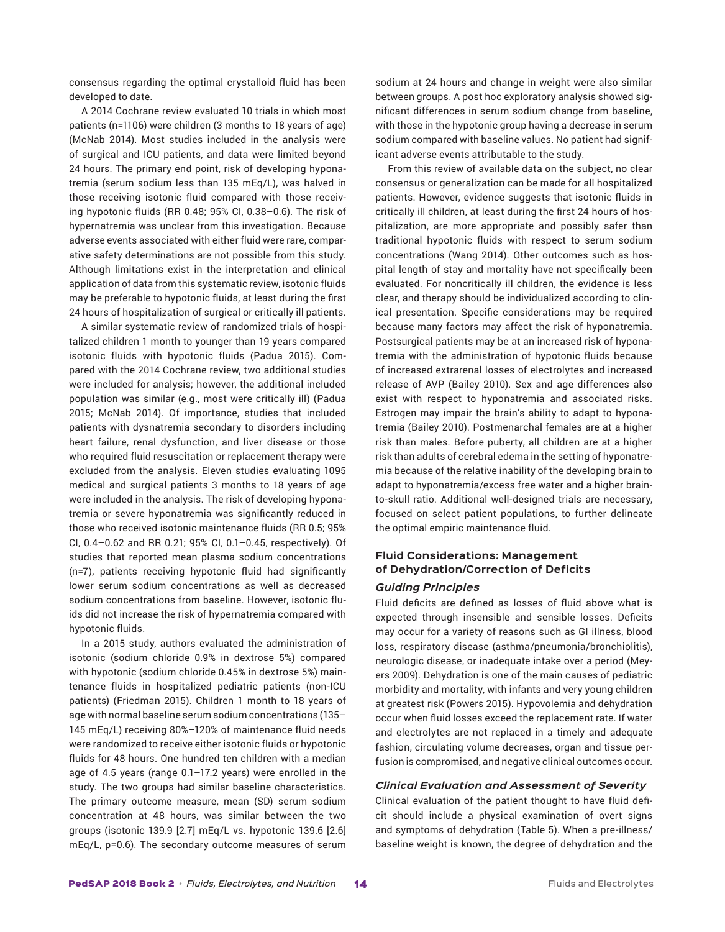consensus regarding the optimal crystalloid fluid has been developed to date.

A 2014 Cochrane review evaluated 10 trials in which most patients (n=1106) were children (3 months to 18 years of age) (McNab 2014). Most studies included in the analysis were of surgical and ICU patients, and data were limited beyond 24 hours. The primary end point, risk of developing hyponatremia (serum sodium less than 135 mEq/L), was halved in those receiving isotonic fluid compared with those receiving hypotonic fluids (RR 0.48; 95% CI, 0.38–0.6). The risk of hypernatremia was unclear from this investigation. Because adverse events associated with either fluid were rare, comparative safety determinations are not possible from this study. Although limitations exist in the interpretation and clinical application of data from this systematic review, isotonic fluids may be preferable to hypotonic fluids, at least during the first 24 hours of hospitalization of surgical or critically ill patients.

A similar systematic review of randomized trials of hospitalized children 1 month to younger than 19 years compared isotonic fluids with hypotonic fluids (Padua 2015). Compared with the 2014 Cochrane review, two additional studies were included for analysis; however, the additional included population was similar (e.g., most were critically ill) (Padua 2015; McNab 2014). Of importance, studies that included patients with dysnatremia secondary to disorders including heart failure, renal dysfunction, and liver disease or those who required fluid resuscitation or replacement therapy were excluded from the analysis. Eleven studies evaluating 1095 medical and surgical patients 3 months to 18 years of age were included in the analysis. The risk of developing hyponatremia or severe hyponatremia was significantly reduced in those who received isotonic maintenance fluids (RR 0.5; 95% CI, 0.4–0.62 and RR 0.21; 95% CI, 0.1–0.45, respectively). Of studies that reported mean plasma sodium concentrations (n=7), patients receiving hypotonic fluid had significantly lower serum sodium concentrations as well as decreased sodium concentrations from baseline. However, isotonic fluids did not increase the risk of hypernatremia compared with hypotonic fluids.

In a 2015 study, authors evaluated the administration of isotonic (sodium chloride 0.9% in dextrose 5%) compared with hypotonic (sodium chloride 0.45% in dextrose 5%) maintenance fluids in hospitalized pediatric patients (non-ICU patients) (Friedman 2015). Children 1 month to 18 years of age with normal baseline serum sodium concentrations (135– 145 mEq/L) receiving 80%–120% of maintenance fluid needs were randomized to receive either isotonic fluids or hypotonic fluids for 48 hours. One hundred ten children with a median age of 4.5 years (range 0.1–17.2 years) were enrolled in the study. The two groups had similar baseline characteristics. The primary outcome measure, mean (SD) serum sodium concentration at 48 hours, was similar between the two groups (isotonic 139.9 [2.7] mEq/L vs. hypotonic 139.6 [2.6] mEq/L, p=0.6). The secondary outcome measures of serum sodium at 24 hours and change in weight were also similar between groups. A post hoc exploratory analysis showed significant differences in serum sodium change from baseline, with those in the hypotonic group having a decrease in serum sodium compared with baseline values. No patient had significant adverse events attributable to the study.

From this review of available data on the subject, no clear consensus or generalization can be made for all hospitalized patients. However, evidence suggests that isotonic fluids in critically ill children, at least during the first 24 hours of hospitalization, are more appropriate and possibly safer than traditional hypotonic fluids with respect to serum sodium concentrations (Wang 2014). Other outcomes such as hospital length of stay and mortality have not specifically been evaluated. For noncritically ill children, the evidence is less clear, and therapy should be individualized according to clinical presentation. Specific considerations may be required because many factors may affect the risk of hyponatremia. Postsurgical patients may be at an increased risk of hyponatremia with the administration of hypotonic fluids because of increased extrarenal losses of electrolytes and increased release of AVP (Bailey 2010). Sex and age differences also exist with respect to hyponatremia and associated risks. Estrogen may impair the brain's ability to adapt to hyponatremia (Bailey 2010). Postmenarchal females are at a higher risk than males. Before puberty, all children are at a higher risk than adults of cerebral edema in the setting of hyponatremia because of the relative inability of the developing brain to adapt to hyponatremia/excess free water and a higher brainto-skull ratio. Additional well-designed trials are necessary, focused on select patient populations, to further delineate the optimal empiric maintenance fluid.

# **Fluid Considerations: Management of Dehydration/Correction of Deficits**

#### *Guiding Principles*

Fluid deficits are defined as losses of fluid above what is expected through insensible and sensible losses. Deficits may occur for a variety of reasons such as GI illness, blood loss, respiratory disease (asthma/pneumonia/bronchiolitis), neurologic disease, or inadequate intake over a period (Meyers 2009). Dehydration is one of the main causes of pediatric morbidity and mortality, with infants and very young children at greatest risk (Powers 2015). Hypovolemia and dehydration occur when fluid losses exceed the replacement rate. If water and electrolytes are not replaced in a timely and adequate fashion, circulating volume decreases, organ and tissue perfusion is compromised, and negative clinical outcomes occur.

#### *Clinical Evaluation and Assessment of Severity*

Clinical evaluation of the patient thought to have fluid deficit should include a physical examination of overt signs and symptoms of dehydration (Table 5). When a pre-illness/ baseline weight is known, the degree of dehydration and the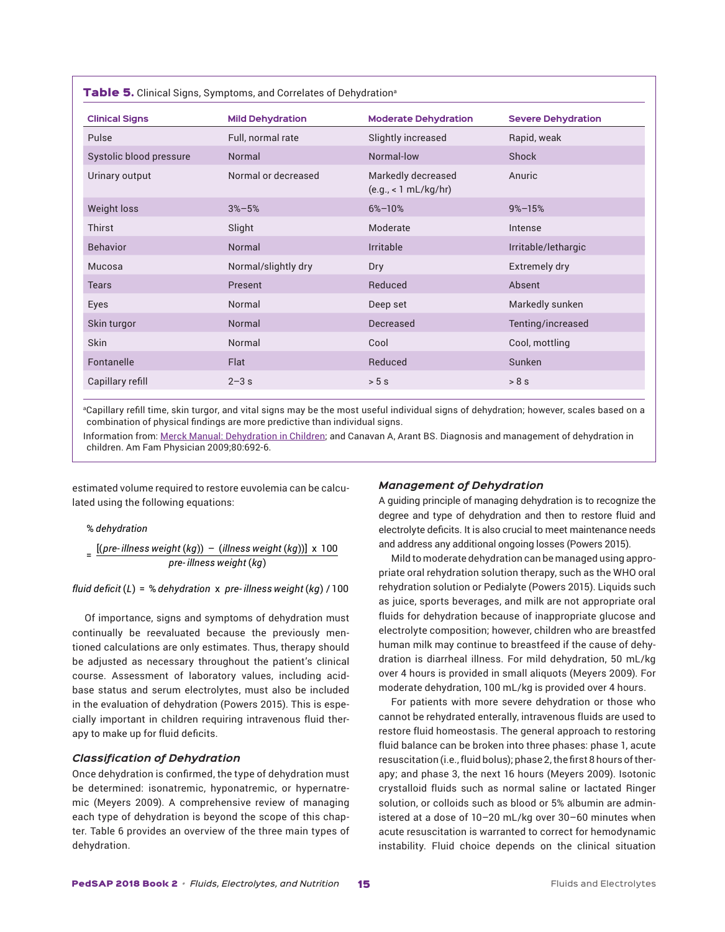| <b>Clinical Signs</b>   | <b>Mild Dehydration</b> | <b>Moderate Dehydration</b>                | <b>Severe Dehydration</b> |
|-------------------------|-------------------------|--------------------------------------------|---------------------------|
| Pulse                   | Full, normal rate       | Slightly increased                         | Rapid, weak               |
| Systolic blood pressure | Normal                  | Normal-low                                 | Shock                     |
| Urinary output          | Normal or decreased     | Markedly decreased<br>(e.g., < 1 mL/kg/hr) | Anuric                    |
| Weight loss             | $3\% - 5\%$             | $6\% - 10\%$                               | $9\% - 15\%$              |
| Thirst                  | Slight                  | Moderate                                   | Intense                   |
| <b>Behavior</b>         | Normal                  | Irritable                                  | Irritable/lethargic       |
| Mucosa                  | Normal/slightly dry     | Dry                                        | Extremely dry             |
| <b>Tears</b>            | Present                 | Reduced                                    | Absent                    |
| Eyes                    | Normal                  | Deep set                                   | Markedly sunken           |
| Skin turgor             | Normal                  | Decreased                                  | Tenting/increased         |
| <b>Skin</b>             | Normal                  | Cool                                       | Cool, mottling            |
| Fontanelle              | Flat                    | Reduced                                    | Sunken                    |
| Capillary refill        | $2 - 3s$                | > 5s                                       | >8s                       |

<sup>a</sup>Capillary refill time, skin turgor, and vital signs may be the most useful individual signs of dehydration; however, scales based on a combination of physical findings are more predictive than individual signs.

Information from: Merck Manual: Dehydration in Children; and Canavan A, Arant BS. Diagnosis and management of dehydration in children. Am Fam Physician 2009;80:692-6.

estimated volume required to restore euvolemia can be calculated using the following equations:

#### % *dehydration*

= [(pre-illness weight (kg)) – (illness weight (kg))] x 100<br>pre-illness weight (kg) *pre illness weight kg illness weight kg pre illness weight kg*

# *fluid deficit* ( $L$ ) = % *dehydration* x pre-*illness weight* ( $kg$ ) / 100

Of importance, signs and symptoms of dehydration must continually be reevaluated because the previously mentioned calculations are only estimates. Thus, therapy should be adjusted as necessary throughout the patient's clinical course. Assessment of laboratory values, including acidbase status and serum electrolytes, must also be included in the evaluation of dehydration (Powers 2015). This is especially important in children requiring intravenous fluid therapy to make up for fluid deficits.

# *Classification of Dehydration*

Once dehydration is confirmed, the type of dehydration must be determined: isonatremic, hyponatremic, or hypernatremic (Meyers 2009). A comprehensive review of managing each type of dehydration is beyond the scope of this chapter. Table 6 provides an overview of the three main types of dehydration.

#### *Management of Dehydration*

A guiding principle of managing dehydration is to recognize the degree and type of dehydration and then to restore fluid and electrolyte deficits. It is also crucial to meet maintenance needs and address any additional ongoing losses (Powers 2015).

Mild to moderate dehydration can be managed using appropriate oral rehydration solution therapy, such as the WHO oral rehydration solution or Pedialyte (Powers 2015). Liquids such as juice, sports beverages, and milk are not appropriate oral fluids for dehydration because of inappropriate glucose and electrolyte composition; however, children who are breastfed human milk may continue to breastfeed if the cause of dehydration is diarrheal illness. For mild dehydration, 50 mL/kg over 4 hours is provided in small aliquots (Meyers 2009). For moderate dehydration, 100 mL/kg is provided over 4 hours.

For patients with more severe dehydration or those who cannot be rehydrated enterally, intravenous fluids are used to restore fluid homeostasis. The general approach to restoring fluid balance can be broken into three phases: phase 1, acute resuscitation (i.e., fluid bolus); phase 2, the first 8 hours of therapy; and phase 3, the next 16 hours (Meyers 2009). Isotonic crystalloid fluids such as normal saline or lactated Ringer solution, or colloids such as blood or 5% albumin are administered at a dose of 10–20 mL/kg over 30–60 minutes when acute resuscitation is warranted to correct for hemodynamic instability. Fluid choice depends on the clinical situation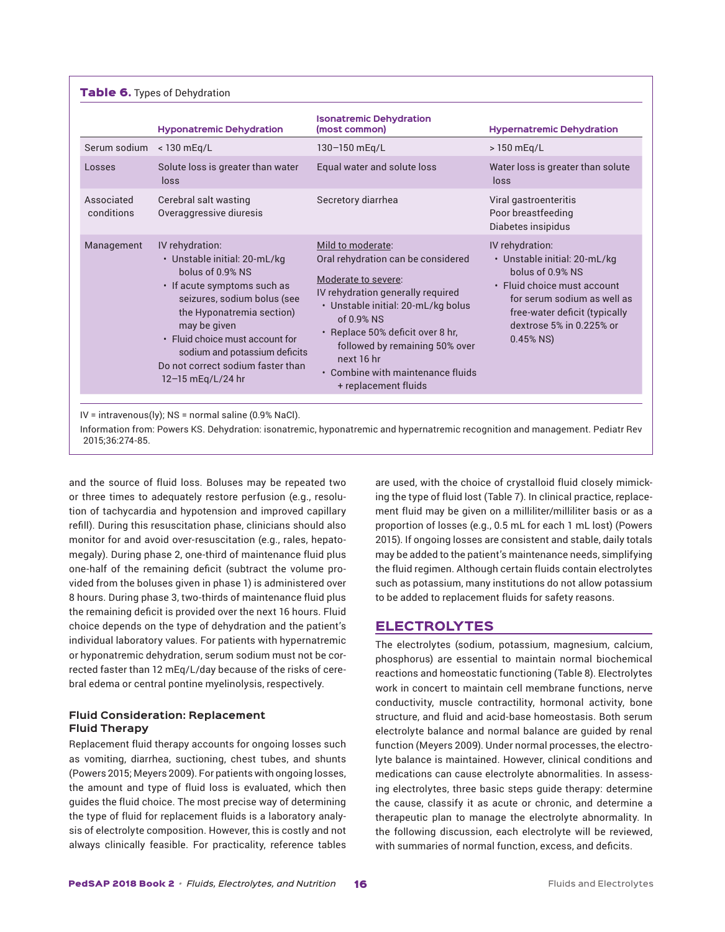|                          | <b>Hyponatremic Dehydration</b>                                                                                                                                                                                                                                                                                  | <b>Isonatremic Dehydration</b><br>(most common)                                                                                                                                                                                                                                                                            | <b>Hypernatremic Dehydration</b>                                                                                                                                                                               |
|--------------------------|------------------------------------------------------------------------------------------------------------------------------------------------------------------------------------------------------------------------------------------------------------------------------------------------------------------|----------------------------------------------------------------------------------------------------------------------------------------------------------------------------------------------------------------------------------------------------------------------------------------------------------------------------|----------------------------------------------------------------------------------------------------------------------------------------------------------------------------------------------------------------|
| Serum sodium             | < 130 mEq/L                                                                                                                                                                                                                                                                                                      | 130-150 mEq/L                                                                                                                                                                                                                                                                                                              | > 150 mEq/L                                                                                                                                                                                                    |
| Losses                   | Solute loss is greater than water<br>loss                                                                                                                                                                                                                                                                        | Equal water and solute loss                                                                                                                                                                                                                                                                                                | Water loss is greater than solute<br>loss                                                                                                                                                                      |
| Associated<br>conditions | Cerebral salt wasting<br>Overaggressive diuresis                                                                                                                                                                                                                                                                 | Secretory diarrhea                                                                                                                                                                                                                                                                                                         | Viral gastroenteritis<br>Poor breastfeeding<br>Diabetes insipidus                                                                                                                                              |
| Management               | IV rehydration:<br>· Unstable initial: 20-mL/kg<br>bolus of 0.9% NS<br>• If acute symptoms such as<br>seizures, sodium bolus (see<br>the Hyponatremia section)<br>may be given<br>• Fluid choice must account for<br>sodium and potassium deficits<br>Do not correct sodium faster than<br>$12 - 15$ mEg/L/24 hr | Mild to moderate:<br>Oral rehydration can be considered<br>Moderate to severe:<br>IV rehydration generally required<br>· Unstable initial: 20-mL/kg bolus<br>$of 0.9%$ NS<br>• Replace 50% deficit over 8 hr,<br>followed by remaining 50% over<br>next 16 hr<br>• Combine with maintenance fluids<br>+ replacement fluids | IV rehydration:<br>• Unstable initial: 20-mL/kg<br>bolus of 0.9% NS<br>• Fluid choice must account<br>for serum sodium as well as<br>free-water deficit (typically<br>dextrose 5% in 0.225% or<br>$0.45\%$ NS) |

Information from: Powers KS. Dehydration: isonatremic, hyponatremic and hypernatremic recognition and management. Pediatr Rev 2015;36:274-85.

and the source of fluid loss. Boluses may be repeated two or three times to adequately restore perfusion (e.g., resolution of tachycardia and hypotension and improved capillary refill). During this resuscitation phase, clinicians should also monitor for and avoid over-resuscitation (e.g., rales, hepatomegaly). During phase 2, one-third of maintenance fluid plus one-half of the remaining deficit (subtract the volume provided from the boluses given in phase 1) is administered over 8 hours. During phase 3, two-thirds of maintenance fluid plus the remaining deficit is provided over the next 16 hours. Fluid choice depends on the type of dehydration and the patient's individual laboratory values. For patients with hypernatremic or hyponatremic dehydration, serum sodium must not be corrected faster than 12 mEq/L/day because of the risks of cerebral edema or central pontine myelinolysis, respectively.

# **Fluid Consideration: Replacement Fluid Therapy**

Replacement fluid therapy accounts for ongoing losses such as vomiting, diarrhea, suctioning, chest tubes, and shunts (Powers 2015; Meyers 2009). For patients with ongoing losses, the amount and type of fluid loss is evaluated, which then guides the fluid choice. The most precise way of determining the type of fluid for replacement fluids is a laboratory analysis of electrolyte composition. However, this is costly and not always clinically feasible. For practicality, reference tables are used, with the choice of crystalloid fluid closely mimicking the type of fluid lost (Table 7). In clinical practice, replacement fluid may be given on a milliliter/milliliter basis or as a proportion of losses (e.g., 0.5 mL for each 1 mL lost) (Powers 2015). If ongoing losses are consistent and stable, daily totals may be added to the patient's maintenance needs, simplifying the fluid regimen. Although certain fluids contain electrolytes such as potassium, many institutions do not allow potassium to be added to replacement fluids for safety reasons.

# ELECTROLYTES

The electrolytes (sodium, potassium, magnesium, calcium, phosphorus) are essential to maintain normal biochemical reactions and homeostatic functioning (Table 8). Electrolytes work in concert to maintain cell membrane functions, nerve conductivity, muscle contractility, hormonal activity, bone structure, and fluid and acid-base homeostasis. Both serum electrolyte balance and normal balance are guided by renal function (Meyers 2009). Under normal processes, the electrolyte balance is maintained. However, clinical conditions and medications can cause electrolyte abnormalities. In assessing electrolytes, three basic steps guide therapy: determine the cause, classify it as acute or chronic, and determine a therapeutic plan to manage the electrolyte abnormality. In the following discussion, each electrolyte will be reviewed, with summaries of normal function, excess, and deficits.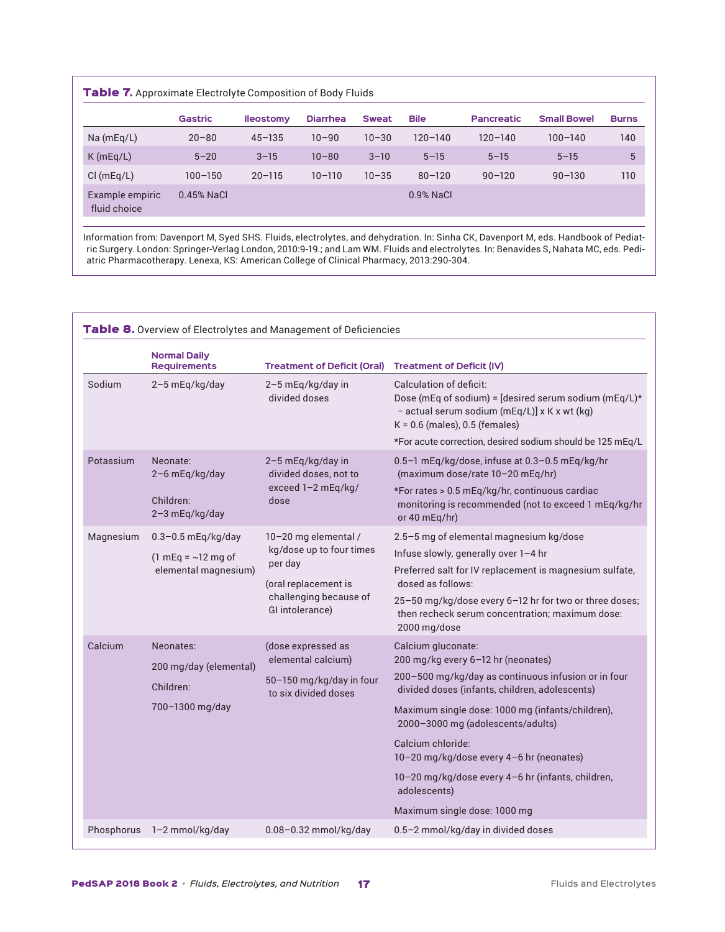| Table 7. Approximate Electrolyte Composition of Body Fluids |  |
|-------------------------------------------------------------|--|
|-------------------------------------------------------------|--|

|                                 | Gastric      | <b>Ileostomy</b> | <b>Diarrhea</b> | <b>Sweat</b> | <b>Bile</b> | <b>Pancreatic</b> | <b>Small Bowel</b> | <b>Burns</b> |
|---------------------------------|--------------|------------------|-----------------|--------------|-------------|-------------------|--------------------|--------------|
| Na (mEq/L)                      | $20 - 80$    | $45 - 135$       | $10 - 90$       | $10 - 30$    | $120 - 140$ | $120 - 140$       | $100 - 140$        | 140          |
| K(mEq/L)                        | $5 - 20$     | $3 - 15$         | $10 - 80$       | $3 - 10$     | $5 - 15$    | $5 - 15$          | $5 - 15$           | 5            |
| Cl(mEq/L)                       | $100 - 150$  | $20 - 115$       | $10 - 110$      | $10 - 35$    | $80 - 120$  | $90 - 120$        | $90 - 130$         | 110          |
| Example empiric<br>fluid choice | $0.45%$ NaCl |                  |                 |              | 0.9% NaCl   |                   |                    |              |

Information from: Davenport M, Syed SHS. Fluids, electrolytes, and dehydration. In: Sinha CK, Davenport M, eds. Handbook of Pediatric Surgery. London: Springer-Verlag London, 2010:9-19.; and Lam WM. Fluids and electrolytes. In: Benavides S, Nahata MC, eds. Pediatric Pharmacotherapy. Lenexa, KS: American College of Clinical Pharmacy, 2013:290-304.

|           |                                                                            | Table 8. Overview of Electrolytes and Management of Deficiencies                                                                 |                                                                                                                                                                                                                                                                                                                                                                                                                                  |
|-----------|----------------------------------------------------------------------------|----------------------------------------------------------------------------------------------------------------------------------|----------------------------------------------------------------------------------------------------------------------------------------------------------------------------------------------------------------------------------------------------------------------------------------------------------------------------------------------------------------------------------------------------------------------------------|
|           | <b>Normal Daily</b><br><b>Requirements</b>                                 | <b>Treatment of Deficit (Oral)</b>                                                                                               | <b>Treatment of Deficit (IV)</b>                                                                                                                                                                                                                                                                                                                                                                                                 |
| Sodium    | 2-5 mEq/kg/day                                                             | 2-5 mEq/kg/day in<br>divided doses                                                                                               | Calculation of deficit:<br>Dose (mEq of sodium) = [desired serum sodium (mEq/L)*<br>- actual serum sodium (mEq/L)] x K x wt (kg)<br>$K = 0.6$ (males), 0.5 (females)                                                                                                                                                                                                                                                             |
|           |                                                                            |                                                                                                                                  | *For acute correction, desired sodium should be 125 mEq/L                                                                                                                                                                                                                                                                                                                                                                        |
| Potassium | Neonate:<br>2-6 mEq/kg/day                                                 | 2-5 mEq/kg/day in<br>divided doses, not to                                                                                       | 0.5-1 mEq/kg/dose, infuse at 0.3-0.5 mEq/kg/hr<br>(maximum dose/rate 10-20 mEq/hr)                                                                                                                                                                                                                                                                                                                                               |
|           | Children:<br>2-3 mEq/kg/day                                                | exceed 1-2 mEq/kg/<br>dose                                                                                                       | *For rates > 0.5 mEq/kg/hr, continuous cardiac<br>monitoring is recommended (not to exceed 1 mEq/kg/hr<br>or 40 mEq/hr)                                                                                                                                                                                                                                                                                                          |
| Magnesium | $0.3 - 0.5$ mEq/kg/day<br>$(1 mEq = \sim 12 mg$ of<br>elemental magnesium) | 10-20 mg elemental /<br>kg/dose up to four times<br>per day<br>(oral replacement is<br>challenging because of<br>GI intolerance) | 2.5-5 mg of elemental magnesium kg/dose<br>Infuse slowly, generally over 1-4 hr<br>Preferred salt for IV replacement is magnesium sulfate,<br>dosed as follows:<br>25-50 mg/kg/dose every 6-12 hr for two or three doses;<br>then recheck serum concentration; maximum dose:<br>2000 mg/dose                                                                                                                                     |
| Calcium   | Neonates:<br>200 mg/day (elemental)<br>Children:<br>700-1300 mg/day        | (dose expressed as<br>elemental calcium)<br>50-150 mg/kg/day in four<br>to six divided doses                                     | Calcium gluconate:<br>200 mg/kg every 6-12 hr (neonates)<br>200-500 mg/kg/day as continuous infusion or in four<br>divided doses (infants, children, adolescents)<br>Maximum single dose: 1000 mg (infants/children),<br>2000-3000 mg (adolescents/adults)<br>Calcium chloride:<br>10-20 mg/kg/dose every 4-6 hr (neonates)<br>10-20 mg/kg/dose every 4-6 hr (infants, children,<br>adolescents)<br>Maximum single dose: 1000 mg |
|           | Phosphorus 1-2 mmol/kg/day                                                 | 0.08-0.32 mmol/kg/day                                                                                                            | 0.5-2 mmol/kg/day in divided doses                                                                                                                                                                                                                                                                                                                                                                                               |
|           |                                                                            |                                                                                                                                  |                                                                                                                                                                                                                                                                                                                                                                                                                                  |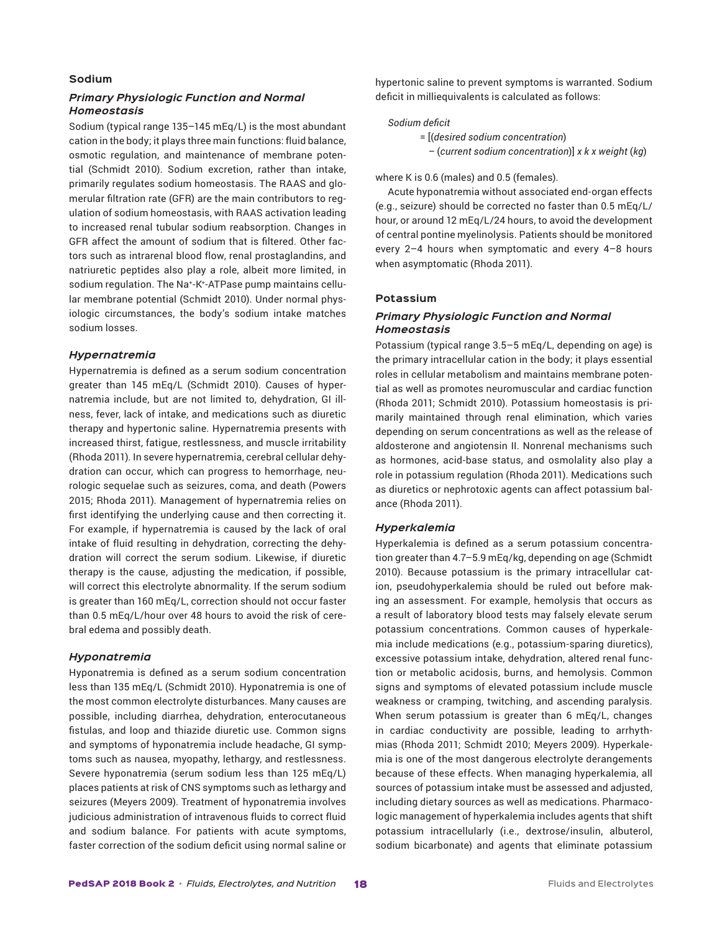# **Sodium**

# *Primary Physiologic Function and Normal Homeostasis*

Sodium (typical range 135–145 mEq/L) is the most abundant cation in the body; it plays three main functions: fluid balance, osmotic regulation, and maintenance of membrane potential (Schmidt 2010). Sodium excretion, rather than intake, primarily regulates sodium homeostasis. The RAAS and glomerular filtration rate (GFR) are the main contributors to regulation of sodium homeostasis, with RAAS activation leading to increased renal tubular sodium reabsorption. Changes in GFR affect the amount of sodium that is filtered. Other factors such as intrarenal blood flow, renal prostaglandins, and natriuretic peptides also play a role, albeit more limited, in sodium regulation. The Na<sup>+</sup>-K<sup>+</sup>-ATPase pump maintains cellular membrane potential (Schmidt 2010). Under normal physiologic circumstances, the body's sodium intake matches sodium losses.

#### *Hypernatremia*

Hypernatremia is defined as a serum sodium concentration greater than 145 mEq/L (Schmidt 2010). Causes of hypernatremia include, but are not limited to, dehydration, GI illness, fever, lack of intake, and medications such as diuretic therapy and hypertonic saline. Hypernatremia presents with increased thirst, fatigue, restlessness, and muscle irritability (Rhoda 2011). In severe hypernatremia, cerebral cellular dehydration can occur, which can progress to hemorrhage, neurologic sequelae such as seizures, coma, and death (Powers 2015; Rhoda 2011). Management of hypernatremia relies on first identifying the underlying cause and then correcting it. For example, if hypernatremia is caused by the lack of oral intake of fluid resulting in dehydration, correcting the dehydration will correct the serum sodium. Likewise, if diuretic therapy is the cause, adjusting the medication, if possible, will correct this electrolyte abnormality. If the serum sodium is greater than 160 mEq/L, correction should not occur faster than 0.5 mEq/L/hour over 48 hours to avoid the risk of cerebral edema and possibly death.

# *Hyponatremia*

Hyponatremia is defined as a serum sodium concentration less than 135 mEq/L (Schmidt 2010). Hyponatremia is one of the most common electrolyte disturbances. Many causes are possible, including diarrhea, dehydration, enterocutaneous fistulas, and loop and thiazide diuretic use. Common signs and symptoms of hyponatremia include headache, GI symptoms such as nausea, myopathy, lethargy, and restlessness. Severe hyponatremia (serum sodium less than 125 mEq/L) places patients at risk of CNS symptoms such as lethargy and seizures (Meyers 2009). Treatment of hyponatremia involves judicious administration of intravenous fluids to correct fluid and sodium balance. For patients with acute symptoms, faster correction of the sodium deficit using normal saline or hypertonic saline to prevent symptoms is warranted. Sodium deficit in milliequivalents is calculated as follows:

#### *Sodium deficit*

= [(*desired sodium concentration*)

*–* (*current sodium concentration*)] *x k x weight* (*kg*)

#### where K is 0.6 (males) and 0.5 (females).

Acute hyponatremia without associated end-organ effects (e.g., seizure) should be corrected no faster than 0.5 mEq/L/ hour, or around 12 mEq/L/24 hours, to avoid the development of central pontine myelinolysis. Patients should be monitored every 2–4 hours when symptomatic and every 4–8 hours when asymptomatic (Rhoda 2011).

#### **Potassium**

# *Primary Physiologic Function and Normal Homeostasis*

Potassium (typical range 3.5–5 mEq/L, depending on age) is the primary intracellular cation in the body; it plays essential roles in cellular metabolism and maintains membrane potential as well as promotes neuromuscular and cardiac function (Rhoda 2011; Schmidt 2010). Potassium homeostasis is primarily maintained through renal elimination, which varies depending on serum concentrations as well as the release of aldosterone and angiotensin II. Nonrenal mechanisms such as hormones, acid-base status, and osmolality also play a role in potassium regulation (Rhoda 2011). Medications such as diuretics or nephrotoxic agents can affect potassium balance (Rhoda 2011).

#### *Hyperkalemia*

Hyperkalemia is defined as a serum potassium concentration greater than 4.7–5.9 mEq/kg, depending on age (Schmidt 2010). Because potassium is the primary intracellular cation, pseudohyperkalemia should be ruled out before making an assessment. For example, hemolysis that occurs as a result of laboratory blood tests may falsely elevate serum potassium concentrations. Common causes of hyperkalemia include medications (e.g., potassium-sparing diuretics), excessive potassium intake, dehydration, altered renal function or metabolic acidosis, burns, and hemolysis. Common signs and symptoms of elevated potassium include muscle weakness or cramping, twitching, and ascending paralysis. When serum potassium is greater than 6 mEq/L, changes in cardiac conductivity are possible, leading to arrhythmias (Rhoda 2011; Schmidt 2010; Meyers 2009). Hyperkalemia is one of the most dangerous electrolyte derangements because of these effects. When managing hyperkalemia, all sources of potassium intake must be assessed and adjusted, including dietary sources as well as medications. Pharmacologic management of hyperkalemia includes agents that shift potassium intracellularly (i.e., dextrose/insulin, albuterol, sodium bicarbonate) and agents that eliminate potassium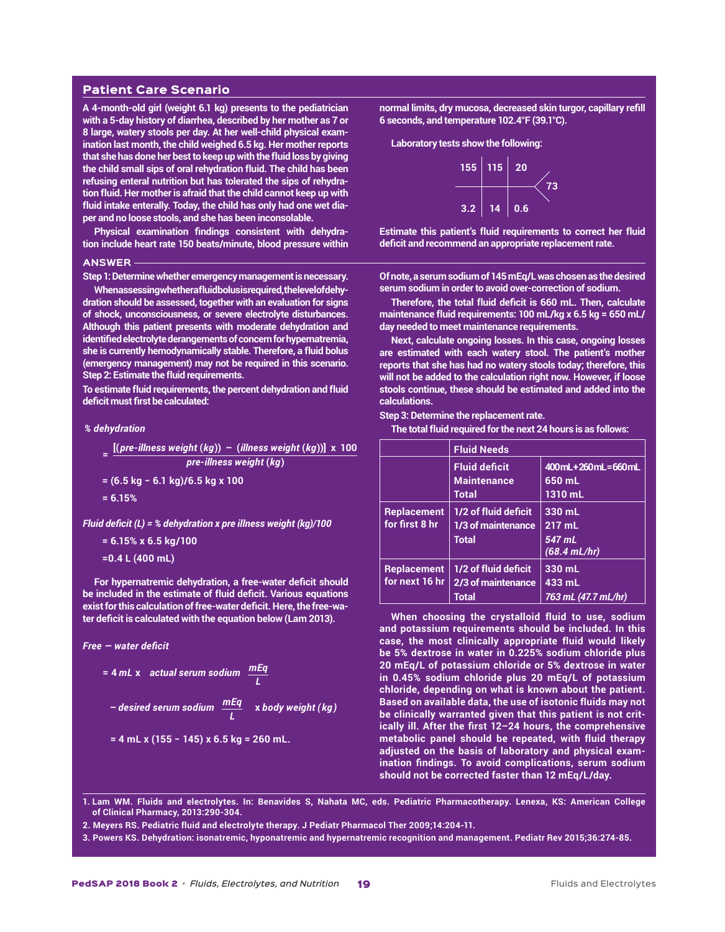#### Patient Care Scenario

**A 4-month-old girl (weight 6.1 kg) presents to the pediatrician with a 5-day history of diarrhea, described by her mother as 7 or 8 large, watery stools per day. At her well-child physical examination last month, the child weighed 6.5 kg. Her mother reports that she has done her best to keep up with the fluid loss by giving the child small sips of oral rehydration fluid. The child has been refusing enteral nutrition but has tolerated the sips of rehydration fluid. Her mother is afraid that the child cannot keep up with fluid intake enterally. Today, the child has only had one wet diaper and no loose stools, and she has been inconsolable.**

**Physical examination findings consistent with dehydration include heart rate 150 beats/minute, blood pressure within** 

#### **ANSWER**

**Step 1: Determine whether emergency management is necessary.**

**When assessing whether a fluid bolus is required, the level of dehydration should be assessed, together with an evaluation for signs of shock, unconsciousness, or severe electrolyte disturbances. Although this patient presents with moderate dehydration and identified electrolyte derangements of concern for hypernatremia, she is currently hemodynamically stable. Therefore, a fluid bolus (emergency management) may not be required in this scenario. Step 2: Estimate the fluid requirements.**

**To estimate fluid requirements, the percent dehydration and fluid deficit must first be calculated:**

#### *% dehydration*

$$
= \frac{[(pre-illness weight (kg)) - (illness weight (kg)) \times 100}{pre-illness weight (kg)}
$$

**= (6.5 kg − 6.1 kg)/6.5 kg x 100**

**= 6.15%**

*Fluid deficit (L) = % dehydration x pre illness weight (kg)/100*

# **= 6.15% x 6.5 kg/100**

**=0.4 L (400 mL)**

**For hypernatremic dehydration, a free-water deficit should be included in the estimate of fluid deficit. Various equations exist for this calculation of free-water deficit. Here, the free-water deficit is calculated with the equation below (Lam 2013).**

$$
Free-water\,deficit
$$

$$
= 4 mL x \quad actual \text{ serum sodium} \quad \frac{mEq}{L}
$$

– desired serum sodium 
$$
\frac{mEq}{L}
$$
 x body weight (kg)

$$
= 4 mL x (155 - 145) x 6.5 kg = 260 mL.
$$

**normal limits, dry mucosa, decreased skin turgor, capillary refill 6 seconds, and temperature 102.4°F (39.1°C).**

**Laboratory tests show the following:**



**Estimate this patient's fluid requirements to correct her fluid deficit and recommend an appropriate replacement rate.**

**Of note, a serum sodium of 145 mEq/L was chosen as the desired serum sodium in order to avoid over-correction of sodium.**

**Therefore, the total fluid deficit is 660 mL. Then, calculate maintenance fluid requirements: 100 mL/kg x 6.5 kg = 650 mL/ day needed to meet maintenance requirements.**

**Next, calculate ongoing losses. In this case, ongoing losses are estimated with each watery stool. The patient's mother reports that she has had no watery stools today; therefore, this will not be added to the calculation right now. However, if loose stools continue, these should be estimated and added into the calculations.**

#### **Step 3: Determine the replacement rate.**

**The total fluid required for the next 24 hours is as follows:**

|                    | <b>Fluid Needs</b>   |                          |
|--------------------|----------------------|--------------------------|
|                    | <b>Fluid deficit</b> | 400 mL + 260 mL = 660 mL |
|                    | <b>Maintenance</b>   | 650 mL                   |
|                    | <b>Total</b>         | 1310 mL                  |
| <b>Replacement</b> | 1/2 of fluid deficit | 330 mL                   |
| for first 8 hr     | 1/3 of maintenance   | 217 mL                   |
|                    | <b>Total</b>         | 547 mL                   |
|                    |                      | $(68.4 \, \text{mL/hr})$ |
| <b>Replacement</b> | 1/2 of fluid deficit | 330 mL                   |
| for next 16 hr     | 2/3 of maintenance   | 433 mL                   |
|                    | Total                | 763 mL (47.7 mL/hr)      |

**When choosing the crystalloid fluid to use, sodium and potassium requirements should be included. In this case, the most clinically appropriate fluid would likely be 5% dextrose in water in 0.225% sodium chloride plus 20 mEq/L of potassium chloride or 5% dextrose in water in 0.45% sodium chloride plus 20 mEq/L of potassium chloride, depending on what is known about the patient. Based on available data, the use of isotonic fluids may not be clinically warranted given that this patient is not critically ill. After the first 12–24 hours, the comprehensive metabolic panel should be repeated, with fluid therapy adjusted on the basis of laboratory and physical examination findings. To avoid complications, serum sodium should not be corrected faster than 12 mEq/L/day.**

**1. Lam WM. Fluids and electrolytes. In: Benavides S, Nahata MC, eds. Pediatric Pharmacotherapy. Lenexa, KS: American College of Clinical Pharmacy, 2013:290-304.**

**2. Meyers RS. Pediatric fluid and electrolyte therapy. J Pediatr Pharmacol Ther 2009;14:204-11.**

**3. Powers KS. Dehydration: isonatremic, hyponatremic and hypernatremic recognition and management. Pediatr Rev 2015;36:274-85.**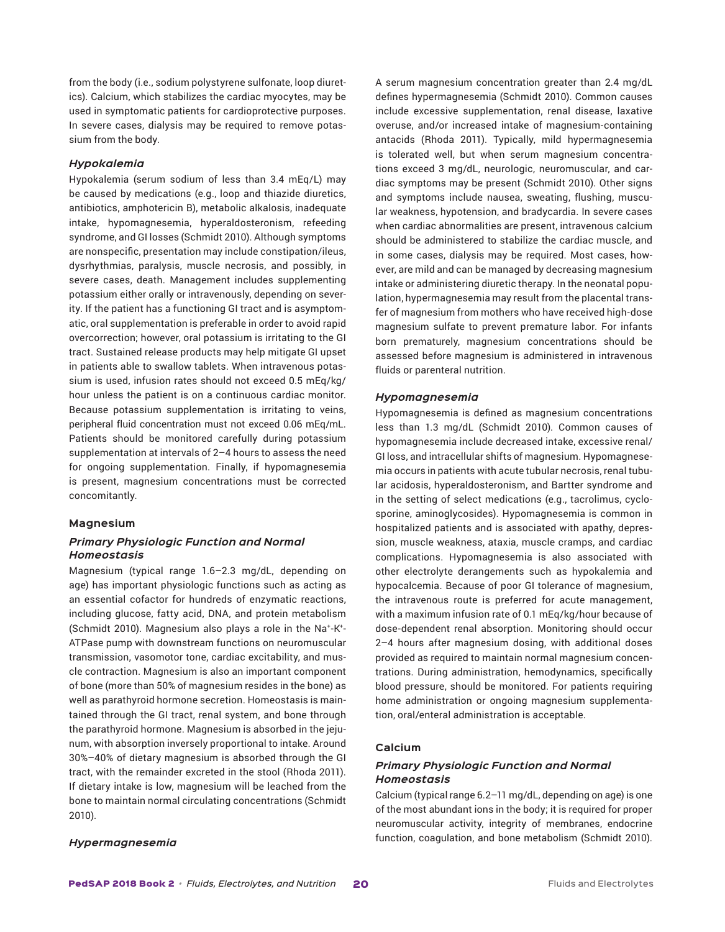from the body (i.e., sodium polystyrene sulfonate, loop diuretics). Calcium, which stabilizes the cardiac myocytes, may be used in symptomatic patients for cardioprotective purposes. In severe cases, dialysis may be required to remove potassium from the body.

# *Hypokalemia*

Hypokalemia (serum sodium of less than 3.4 mEq/L) may be caused by medications (e.g., loop and thiazide diuretics, antibiotics, amphotericin B), metabolic alkalosis, inadequate intake, hypomagnesemia, hyperaldosteronism, refeeding syndrome, and GI losses (Schmidt 2010). Although symptoms are nonspecific, presentation may include constipation/ileus, dysrhythmias, paralysis, muscle necrosis, and possibly, in severe cases, death. Management includes supplementing potassium either orally or intravenously, depending on severity. If the patient has a functioning GI tract and is asymptomatic, oral supplementation is preferable in order to avoid rapid overcorrection; however, oral potassium is irritating to the GI tract. Sustained release products may help mitigate GI upset in patients able to swallow tablets. When intravenous potassium is used, infusion rates should not exceed 0.5 mEq/kg/ hour unless the patient is on a continuous cardiac monitor. Because potassium supplementation is irritating to veins, peripheral fluid concentration must not exceed 0.06 mEq/mL. Patients should be monitored carefully during potassium supplementation at intervals of 2–4 hours to assess the need for ongoing supplementation. Finally, if hypomagnesemia is present, magnesium concentrations must be corrected concomitantly.

#### **Magnesium**

# *Primary Physiologic Function and Normal Homeostasis*

Magnesium (typical range 1.6–2.3 mg/dL, depending on age) has important physiologic functions such as acting as an essential cofactor for hundreds of enzymatic reactions, including glucose, fatty acid, DNA, and protein metabolism (Schmidt 2010). Magnesium also plays a role in the Na+-K+- ATPase pump with downstream functions on neuromuscular transmission, vasomotor tone, cardiac excitability, and muscle contraction. Magnesium is also an important component of bone (more than 50% of magnesium resides in the bone) as well as parathyroid hormone secretion. Homeostasis is maintained through the GI tract, renal system, and bone through the parathyroid hormone. Magnesium is absorbed in the jejunum, with absorption inversely proportional to intake. Around 30%–40% of dietary magnesium is absorbed through the GI tract, with the remainder excreted in the stool (Rhoda 2011). If dietary intake is low, magnesium will be leached from the bone to maintain normal circulating concentrations (Schmidt 2010).

A serum magnesium concentration greater than 2.4 mg/dL defines hypermagnesemia (Schmidt 2010). Common causes include excessive supplementation, renal disease, laxative overuse, and/or increased intake of magnesium-containing antacids (Rhoda 2011). Typically, mild hypermagnesemia is tolerated well, but when serum magnesium concentrations exceed 3 mg/dL, neurologic, neuromuscular, and cardiac symptoms may be present (Schmidt 2010). Other signs and symptoms include nausea, sweating, flushing, muscular weakness, hypotension, and bradycardia. In severe cases when cardiac abnormalities are present, intravenous calcium should be administered to stabilize the cardiac muscle, and in some cases, dialysis may be required. Most cases, however, are mild and can be managed by decreasing magnesium intake or administering diuretic therapy. In the neonatal population, hypermagnesemia may result from the placental transfer of magnesium from mothers who have received high-dose magnesium sulfate to prevent premature labor. For infants born prematurely, magnesium concentrations should be assessed before magnesium is administered in intravenous fluids or parenteral nutrition.

#### *Hypomagnesemia*

Hypomagnesemia is defined as magnesium concentrations less than 1.3 mg/dL (Schmidt 2010). Common causes of hypomagnesemia include decreased intake, excessive renal/ GI loss, and intracellular shifts of magnesium. Hypomagnesemia occurs in patients with acute tubular necrosis, renal tubular acidosis, hyperaldosteronism, and Bartter syndrome and in the setting of select medications (e.g., tacrolimus, cyclosporine, aminoglycosides). Hypomagnesemia is common in hospitalized patients and is associated with apathy, depression, muscle weakness, ataxia, muscle cramps, and cardiac complications. Hypomagnesemia is also associated with other electrolyte derangements such as hypokalemia and hypocalcemia. Because of poor GI tolerance of magnesium, the intravenous route is preferred for acute management, with a maximum infusion rate of 0.1 mEq/kg/hour because of dose-dependent renal absorption. Monitoring should occur 2–4 hours after magnesium dosing, with additional doses provided as required to maintain normal magnesium concentrations. During administration, hemodynamics, specifically blood pressure, should be monitored. For patients requiring home administration or ongoing magnesium supplementation, oral/enteral administration is acceptable.

#### **Calcium**

# *Primary Physiologic Function and Normal Homeostasis*

Calcium (typical range 6.2–11 mg/dL, depending on age) is one of the most abundant ions in the body; it is required for proper neuromuscular activity, integrity of membranes, endocrine function, coagulation, and bone metabolism (Schmidt 2010).

# *Hypermagnesemia*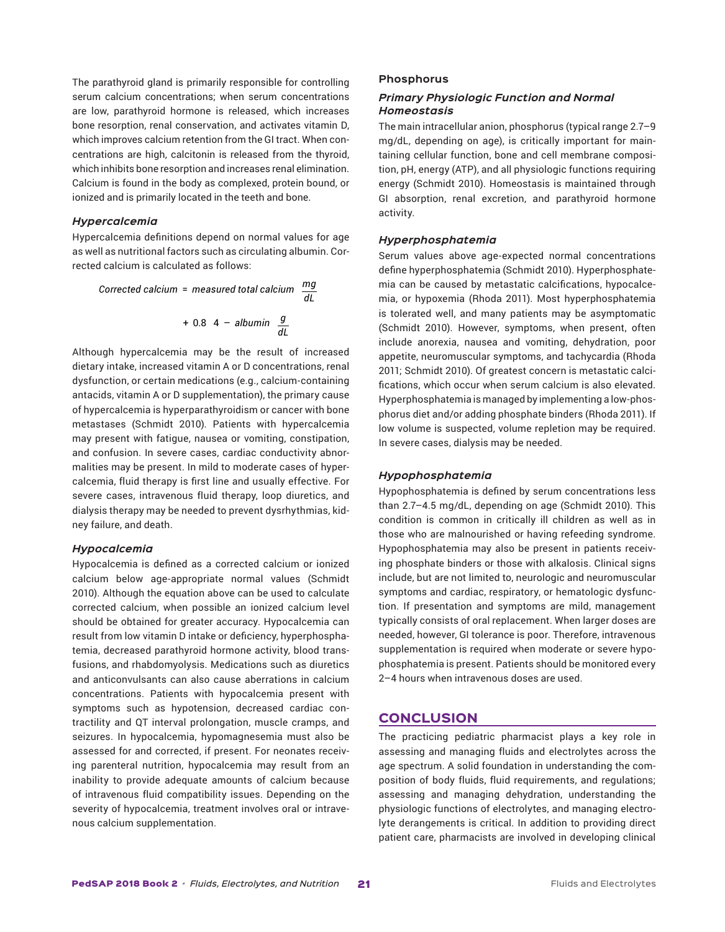The parathyroid gland is primarily responsible for controlling serum calcium concentrations; when serum concentrations are low, parathyroid hormone is released, which increases bone resorption, renal conservation, and activates vitamin D, which improves calcium retention from the GI tract. When concentrations are high, calcitonin is released from the thyroid, which inhibits bone resorption and increases renal elimination. Calcium is found in the body as complexed, protein bound, or ionized and is primarily located in the teeth and bone.

#### *Hypercalcemia*

Hypercalcemia definitions depend on normal values for age as well as nutritional factors such as circulating albumin. Corrected calcium is calculated as follows:

Corrected calcium = measured total calcium 
$$
\frac{mg}{dl}
$$
  
+ 0.8 4 - albumin  $\frac{g}{dl}$ 

Although hypercalcemia may be the result of increased dietary intake, increased vitamin A or D concentrations, renal dysfunction, or certain medications (e.g., calcium-containing antacids, vitamin A or D supplementation), the primary cause of hypercalcemia is hyperparathyroidism or cancer with bone metastases (Schmidt 2010). Patients with hypercalcemia may present with fatigue, nausea or vomiting, constipation, and confusion. In severe cases, cardiac conductivity abnormalities may be present. In mild to moderate cases of hypercalcemia, fluid therapy is first line and usually effective. For severe cases, intravenous fluid therapy, loop diuretics, and dialysis therapy may be needed to prevent dysrhythmias, kidney failure, and death.

#### *Hypocalcemia*

Hypocalcemia is defined as a corrected calcium or ionized calcium below age-appropriate normal values (Schmidt 2010). Although the equation above can be used to calculate corrected calcium, when possible an ionized calcium level should be obtained for greater accuracy. Hypocalcemia can result from low vitamin D intake or deficiency, hyperphosphatemia, decreased parathyroid hormone activity, blood transfusions, and rhabdomyolysis. Medications such as diuretics and anticonvulsants can also cause aberrations in calcium concentrations. Patients with hypocalcemia present with symptoms such as hypotension, decreased cardiac contractility and QT interval prolongation, muscle cramps, and seizures. In hypocalcemia, hypomagnesemia must also be assessed for and corrected, if present. For neonates receiving parenteral nutrition, hypocalcemia may result from an inability to provide adequate amounts of calcium because of intravenous fluid compatibility issues. Depending on the severity of hypocalcemia, treatment involves oral or intravenous calcium supplementation.

## **Phosphorus**

# *Primary Physiologic Function and Normal Homeostasis*

The main intracellular anion, phosphorus (typical range 2.7–9 mg/dL, depending on age), is critically important for maintaining cellular function, bone and cell membrane composition, pH, energy (ATP), and all physiologic functions requiring energy (Schmidt 2010). Homeostasis is maintained through GI absorption, renal excretion, and parathyroid hormone activity.

#### *Hyperphosphatemia*

Serum values above age-expected normal concentrations define hyperphosphatemia (Schmidt 2010). Hyperphosphatemia can be caused by metastatic calcifications, hypocalcemia, or hypoxemia (Rhoda 2011). Most hyperphosphatemia is tolerated well, and many patients may be asymptomatic (Schmidt 2010). However, symptoms, when present, often include anorexia, nausea and vomiting, dehydration, poor appetite, neuromuscular symptoms, and tachycardia (Rhoda 2011; Schmidt 2010). Of greatest concern is metastatic calcifications, which occur when serum calcium is also elevated. Hyperphosphatemia is managed by implementing a low-phosphorus diet and/or adding phosphate binders (Rhoda 2011). If low volume is suspected, volume repletion may be required. In severe cases, dialysis may be needed.

# *Hypophosphatemia*

Hypophosphatemia is defined by serum concentrations less than 2.7–4.5 mg/dL, depending on age (Schmidt 2010). This condition is common in critically ill children as well as in those who are malnourished or having refeeding syndrome. Hypophosphatemia may also be present in patients receiving phosphate binders or those with alkalosis. Clinical signs include, but are not limited to, neurologic and neuromuscular symptoms and cardiac, respiratory, or hematologic dysfunction. If presentation and symptoms are mild, management typically consists of oral replacement. When larger doses are needed, however, GI tolerance is poor. Therefore, intravenous supplementation is required when moderate or severe hypophosphatemia is present. Patients should be monitored every 2–4 hours when intravenous doses are used.

# **CONCLUSION**

The practicing pediatric pharmacist plays a key role in assessing and managing fluids and electrolytes across the age spectrum. A solid foundation in understanding the composition of body fluids, fluid requirements, and regulations; assessing and managing dehydration, understanding the physiologic functions of electrolytes, and managing electrolyte derangements is critical. In addition to providing direct patient care, pharmacists are involved in developing clinical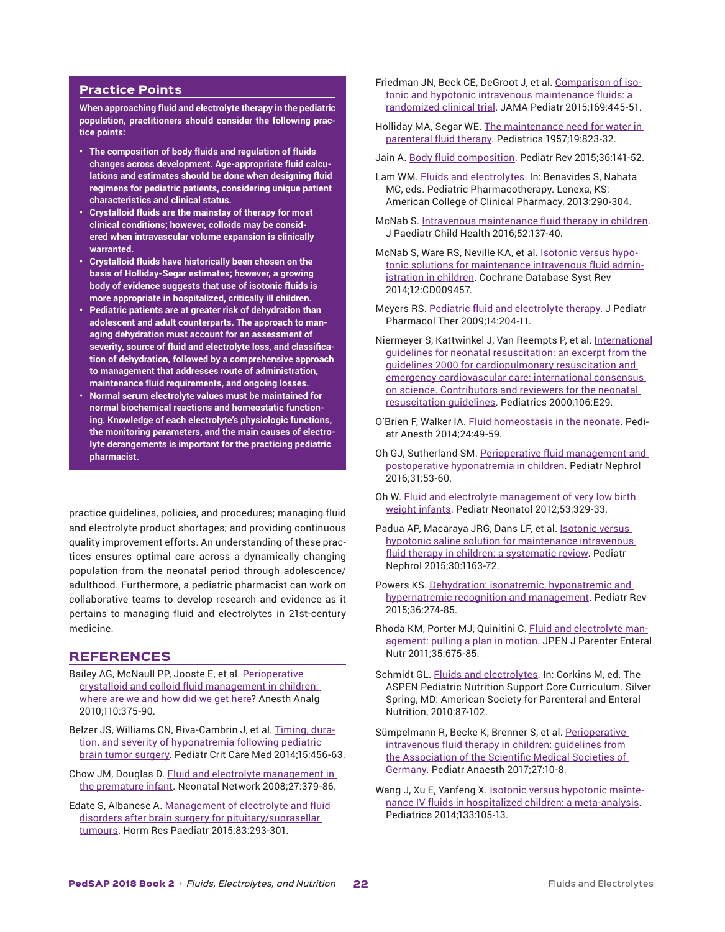# Practice Points

**When approaching fluid and electrolyte therapy in the pediatric population, practitioners should consider the following practice points:**

- **• The composition of body fluids and regulation of fluids changes across development. Age-appropriate fluid calculations and estimates should be done when designing fluid regimens for pediatric patients, considering unique patient characteristics and clinical status.**
- **• Crystalloid fluids are the mainstay of therapy for most clinical conditions; however, colloids may be considered when intravascular volume expansion is clinically warranted.**
- **• Crystalloid fluids have historically been chosen on the basis of Holliday-Segar estimates; however, a growing body of evidence suggests that use of isotonic fluids is more appropriate in hospitalized, critically ill children.**
- **• Pediatric patients are at greater risk of dehydration than adolescent and adult counterparts. The approach to managing dehydration must account for an assessment of severity, source of fluid and electrolyte loss, and classification of dehydration, followed by a comprehensive approach to management that addresses route of administration, maintenance fluid requirements, and ongoing losses.**
- **• Normal serum electrolyte values must be maintained for normal biochemical reactions and homeostatic functioning. Knowledge of each electrolyte's physiologic functions, the monitoring parameters, and the main causes of electrolyte derangements is important for the practicing pediatric pharmacist.**

practice guidelines, policies, and procedures; managing fluid and electrolyte product shortages; and providing continuous quality improvement efforts. An understanding of these practices ensures optimal care across a dynamically changing population from the neonatal period through adolescence/ adulthood. Furthermore, a pediatric pharmacist can work on collaborative teams to develop research and evidence as it pertains to managing fluid and electrolytes in 21st-century medicine.

# REFERENCES

- Bailey AG, McNaull PP, Jooste E, et al. [Perioperative](https://www.ncbi.nlm.nih.gov/pubmed/19955503) crystalloid and colloid fluid [management](https://www.ncbi.nlm.nih.gov/pubmed/19955503) in children: [where](https://www.ncbi.nlm.nih.gov/pubmed/19955503) are we and how did we get here? Anesth Analg 2010;110:375-90.
- Belzer JS, Williams CN, Riva-Cambrin J, et al. [Timing,](https://www.ncbi.nlm.nih.gov/pubmed/24777301) duration, and severity of [hyponatremia](https://www.ncbi.nlm.nih.gov/pubmed/24777301) following pediatric [brain tumor surgery](https://www.ncbi.nlm.nih.gov/pubmed/24777301). Pediatr Crit Care Med 2014;15:456-63.
- Chow JM, Douglas D. Fluid and electrolyte [management](https://www.ncbi.nlm.nih.gov/pubmed/19065967) in [the premature infant](https://www.ncbi.nlm.nih.gov/pubmed/19065967). Neonatal Network 2008;27:379-86.
- Edate S, Albanese A. [Management](https://www.ncbi.nlm.nih.gov/pubmed/25677941) of electrolyte and fluid disorders after brain surgery for [pituitary/suprasellar](https://www.ncbi.nlm.nih.gov/pubmed/25677941) [tumours](https://www.ncbi.nlm.nih.gov/pubmed/25677941). Horm Res Paediatr 2015;83:293-301.
- Friedman JN, Beck CE, DeGroot J, et al. [Comparison of iso](https://www.ncbi.nlm.nih.gov/pubmed/25751673)tonic and hypotonic intravenous [maintenance](https://www.ncbi.nlm.nih.gov/pubmed/25751673) fluids: a [randomized](https://www.ncbi.nlm.nih.gov/pubmed/25751673) clinical trial. JAMA Pediatr 2015;169:445-51.
- Holliday MA, Segar WE. The [maintenance](https://www.ncbi.nlm.nih.gov/pubmed/13431307) need for water in [parenteral](https://www.ncbi.nlm.nih.gov/pubmed/13431307) fluid therapy. Pediatrics 1957;19:823-32.
- Jain A. Body fluid [composition.](https://www.ncbi.nlm.nih.gov/pubmed/25834218) Pediatr Rev 2015;36:141-52.
- Lam WM. Fluids and [electrolytes](https://www.accp.com/store/product.aspx?pc=TH_01PPG). In: Benavides S, Nahata MC, eds. Pediatric Pharmacotherapy. Lenexa, KS: American College of Clinical Pharmacy, 2013:290-304.
- McNab S. Intravenous [maintenance](https://www.ncbi.nlm.nih.gov/pubmed/27062616) fluid therapy in children. J Paediatr Child Health 2016;52:137-40.
- McNab S, Ware RS, Neville KA, et al. **[Isotonic](https://www.ncbi.nlm.nih.gov/pubmed/25519949) versus hypo**tonic solutions for [maintenance](https://www.ncbi.nlm.nih.gov/pubmed/25519949) intravenous fluid admin[istration](https://www.ncbi.nlm.nih.gov/pubmed/25519949) in children. Cochrane Database Syst Rev 2014;12:CD009457.
- Meyers RS. Pediatric fluid and [electrolyte](https://www.ncbi.nlm.nih.gov/pubmed/23055905) therapy. J Pediatr Pharmacol Ther 2009;14:204-11.
- Niermeyer S, Kattwinkel J, Van Reempts P, et al. [International](https://www.ncbi.nlm.nih.gov/pubmed/10969113) guidelines for neonatal [resuscitation:](https://www.ncbi.nlm.nih.gov/pubmed/10969113) an excerpt from the guidelines 2000 for [cardiopulmonary](https://www.ncbi.nlm.nih.gov/pubmed/10969113) resuscitation and emergency [cardiovascular](https://www.ncbi.nlm.nih.gov/pubmed/10969113) care: international consensus on science. [Contributors](https://www.ncbi.nlm.nih.gov/pubmed/10969113) and reviewers for the neonatal [resuscitation](https://www.ncbi.nlm.nih.gov/pubmed/10969113) guidelines. Pediatrics 2000;106:E29.
- O'Brien F, Walker IA. Fluid [homeostasis](https://www.ncbi.nlm.nih.gov/pubmed/24299660) in the neonate. Pediatr Anesth 2014;24:49-59.
- Oh GJ, Sutherland SM. Perioperative fluid [management](https://www.ncbi.nlm.nih.gov/pubmed/25784018) and postoperative [hyponatremia](https://www.ncbi.nlm.nih.gov/pubmed/25784018) in children. Pediatr Nephrol 2016;31:53-60.
- Oh W. Fluid and electrolyte [management](https://www.ncbi.nlm.nih.gov/pubmed/23276435) of very low birth weight [infants.](https://www.ncbi.nlm.nih.gov/pubmed/23276435) Pediatr Neonatol 2012;53:329-33.
- Padua AP, Macaraya JRG, Dans LF, et al. **[Isotonic](https://www.ncbi.nlm.nih.gov/pubmed/25576065) versus** hypotonic saline solution for [maintenance](https://www.ncbi.nlm.nih.gov/pubmed/25576065) intravenous fluid therapy in children: a [systematic](https://www.ncbi.nlm.nih.gov/pubmed/25576065) review. Pediatr Nephrol 2015;30:1163-72.
- Powers KS. Dehydration: isonatremic, [hyponatremic](https://www.ncbi.nlm.nih.gov/pubmed/26133303) and [hypernatremic recognition and management](https://www.ncbi.nlm.nih.gov/pubmed/26133303). Pediatr Rev 2015;36:274-85.
- Rhoda KM, Porter MJ, Quinitini C. Fluid and [electrolyte](https://www.ncbi.nlm.nih.gov/pubmed/22042047) man[agement:](https://www.ncbi.nlm.nih.gov/pubmed/22042047) pulling a plan in motion. JPEN J Parenter Enteral Nutr 2011;35:675-85.
- Schmidt GL. Fluids and [electrolytes.](https://netforum.avectra.com/eweb/shopping/shopping.aspx?site=aspen&webcode=shopping&&prd_key=357dee94-b562-441c-b8dd-c634a3dc95b7) In: Corkins M, ed. The ASPEN Pediatric Nutrition Support Core Curriculum. Silver Spring, MD: American Society for Parenteral and Enteral Nutrition, 2010:87-102.
- Sümpelmann R, Becke K, Brenner S, et al. [Perioperative](https://www.ncbi.nlm.nih.gov/pubmed/27747968) [intravenous](https://www.ncbi.nlm.nih.gov/pubmed/27747968) fluid therapy in children: guidelines from the [Association](https://www.ncbi.nlm.nih.gov/pubmed/27747968) of the Scientific Medical Societies of [Germany.](https://www.ncbi.nlm.nih.gov/pubmed/27747968) Pediatr Anaesth 2017;27:10-8.
- Wang J, Xu E, Yanfeng X. Isotonic versus [hypotonic](https://www.ncbi.nlm.nih.gov/pubmed/24379232) maintenance IV fluids in hospitalized children: a [meta-analysis](https://www.ncbi.nlm.nih.gov/pubmed/24379232). Pediatrics 2014;133:105-13.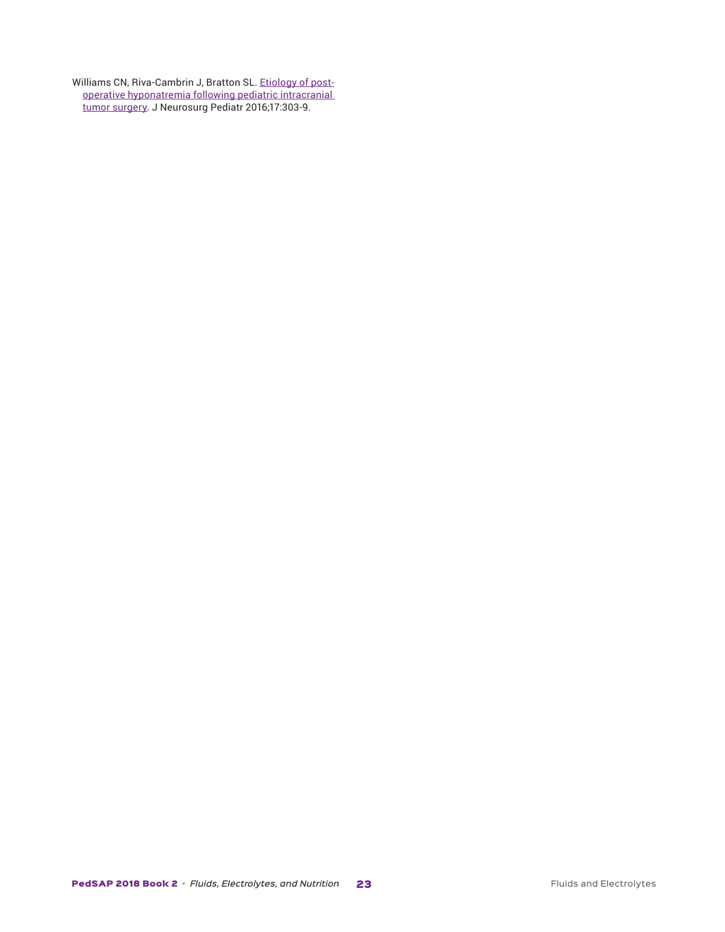Williams CN, Riva-Cambrin J, Bratton SL. [Etiology](https://www.ncbi.nlm.nih.gov/pubmed/26613271) of postoperative [hyponatremia](https://www.ncbi.nlm.nih.gov/pubmed/26613271) following pediatric intracranial [tumor surgery](https://www.ncbi.nlm.nih.gov/pubmed/26613271). J Neurosurg Pediatr 2016;17:303-9.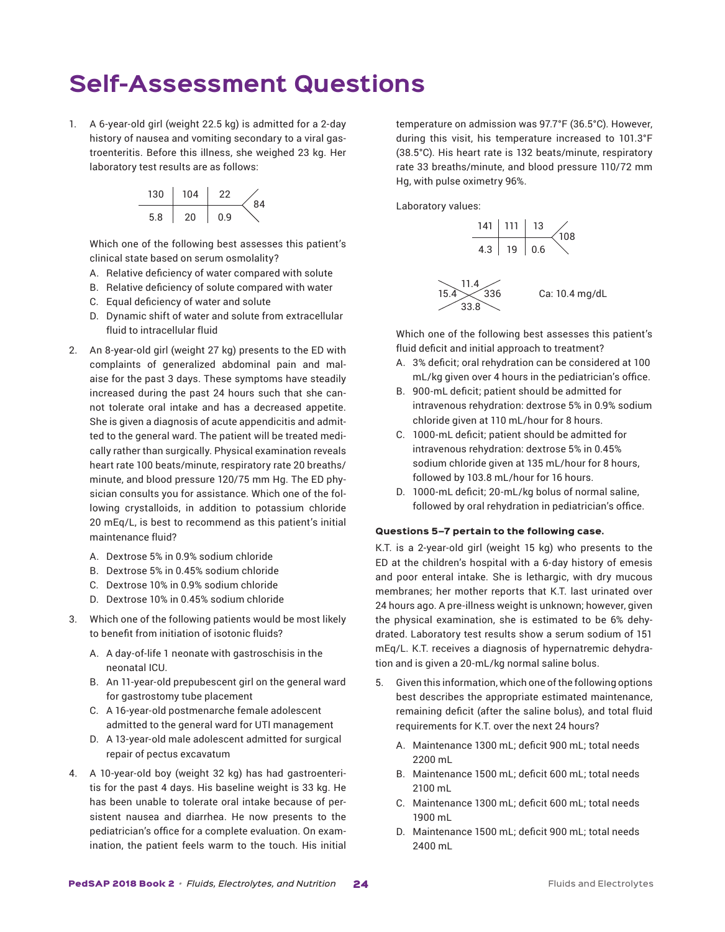# **Self-Assessment Questions**

1. A 6-year-old girl (weight 22.5 kg) is admitted for a 2-day history of nausea and vomiting secondary to a viral gastroenteritis. Before this illness, she weighed 23 kg. Her laboratory test results are as follows:



Which one of the following best assesses this patient's clinical state based on serum osmolality?

- A. Relative deficiency of water compared with solute
- B. Relative deficiency of solute compared with water
- C. Equal deficiency of water and solute
- D. Dynamic shift of water and solute from extracellular fluid to intracellular fluid
- 2. An 8-year-old girl (weight 27 kg) presents to the ED with complaints of generalized abdominal pain and malaise for the past 3 days. These symptoms have steadily increased during the past 24 hours such that she cannot tolerate oral intake and has a decreased appetite. She is given a diagnosis of acute appendicitis and admitted to the general ward. The patient will be treated medically rather than surgically. Physical examination reveals heart rate 100 beats/minute, respiratory rate 20 breaths/ minute, and blood pressure 120/75 mm Hg. The ED physician consults you for assistance. Which one of the following crystalloids, in addition to potassium chloride 20 mEq/L, is best to recommend as this patient's initial maintenance fluid?
	- A. Dextrose 5% in 0.9% sodium chloride
	- B. Dextrose 5% in 0.45% sodium chloride
	- C. Dextrose 10% in 0.9% sodium chloride
	- D. Dextrose 10% in 0.45% sodium chloride
- 3. Which one of the following patients would be most likely to benefit from initiation of isotonic fluids?
	- A. A day-of-life 1 neonate with gastroschisis in the neonatal ICU.
	- B. An 11-year-old prepubescent girl on the general ward for gastrostomy tube placement
	- C. A 16-year-old postmenarche female adolescent admitted to the general ward for UTI management
	- D. A 13-year-old male adolescent admitted for surgical repair of pectus excavatum
- 4. A 10-year-old boy (weight 32 kg) has had gastroenteritis for the past 4 days. His baseline weight is 33 kg. He has been unable to tolerate oral intake because of persistent nausea and diarrhea. He now presents to the pediatrician's office for a complete evaluation. On examination, the patient feels warm to the touch. His initial

temperature on admission was 97.7°F (36.5°C). However, during this visit, his temperature increased to 101.3°F (38.5°C). His heart rate is 132 beats/minute, respiratory rate 33 breaths/minute, and blood pressure 110/72 mm Hg, with pulse oximetry 96%.

Laboratory values:



Which one of the following best assesses this patient's fluid deficit and initial approach to treatment?

- A. 3% deficit; oral rehydration can be considered at 100 mL/kg given over 4 hours in the pediatrician's office.
- B. 900-mL deficit; patient should be admitted for intravenous rehydration: dextrose 5% in 0.9% sodium chloride given at 110 mL/hour for 8 hours.
- C. 1000-mL deficit; patient should be admitted for intravenous rehydration: dextrose 5% in 0.45% sodium chloride given at 135 mL/hour for 8 hours, followed by 103.8 mL/hour for 16 hours.
- D. 1000-mL deficit; 20-mL/kg bolus of normal saline, followed by oral rehydration in pediatrician's office.

#### Questions 5–7 pertain to the following case.

K.T. is a 2-year-old girl (weight 15 kg) who presents to the ED at the children's hospital with a 6-day history of emesis and poor enteral intake. She is lethargic, with dry mucous membranes; her mother reports that K.T. last urinated over 24 hours ago. A pre-illness weight is unknown; however, given the physical examination, she is estimated to be 6% dehydrated. Laboratory test results show a serum sodium of 151 mEq/L. K.T. receives a diagnosis of hypernatremic dehydration and is given a 20-mL/kg normal saline bolus.

- 5. Given this information, which one of the following options best describes the appropriate estimated maintenance, remaining deficit (after the saline bolus), and total fluid requirements for K.T. over the next 24 hours?
	- A. Maintenance 1300 mL; deficit 900 mL; total needs 2200 mL
	- B. Maintenance 1500 mL; deficit 600 mL; total needs 2100 mL
	- C. Maintenance 1300 mL; deficit 600 mL; total needs 1900 mL
	- D. Maintenance 1500 mL; deficit 900 mL; total needs 2400 mL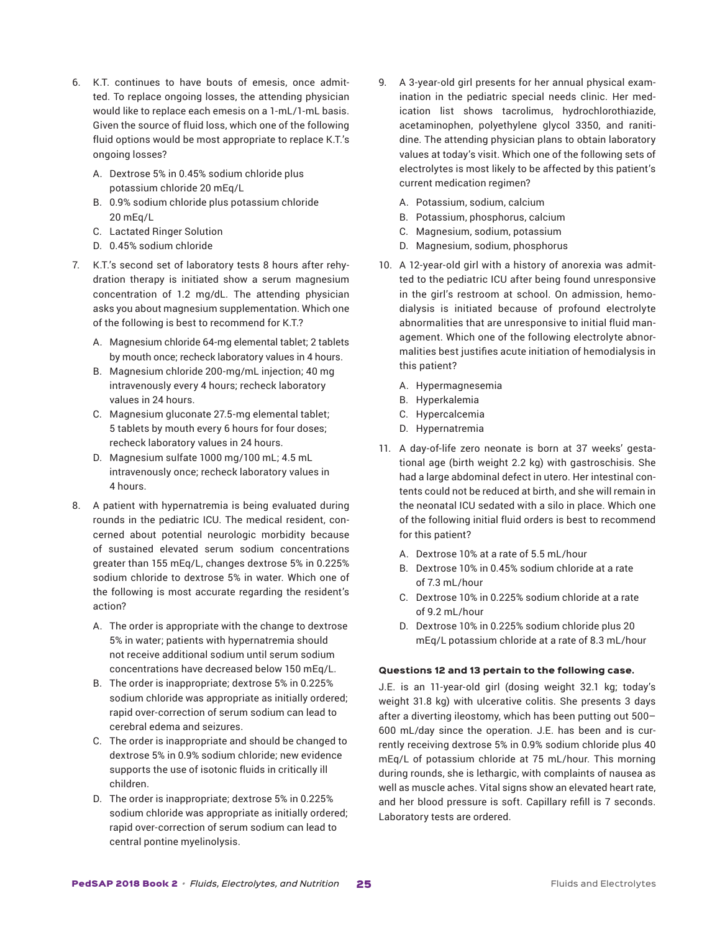- 6. K.T. continues to have bouts of emesis, once admitted. To replace ongoing losses, the attending physician would like to replace each emesis on a 1-mL/1-mL basis. Given the source of fluid loss, which one of the following fluid options would be most appropriate to replace K.T.'s ongoing losses?
	- A. Dextrose 5% in 0.45% sodium chloride plus potassium chloride 20 mEq/L
	- B. 0.9% sodium chloride plus potassium chloride 20 mEq/L
	- C. Lactated Ringer Solution
	- D. 0.45% sodium chloride
- 7. K.T.'s second set of laboratory tests 8 hours after rehydration therapy is initiated show a serum magnesium concentration of 1.2 mg/dL. The attending physician asks you about magnesium supplementation. Which one of the following is best to recommend for K.T.?
	- A. Magnesium chloride 64-mg elemental tablet; 2 tablets by mouth once; recheck laboratory values in 4 hours.
	- B. Magnesium chloride 200-mg/mL injection; 40 mg intravenously every 4 hours; recheck laboratory values in 24 hours.
	- C. Magnesium gluconate 27.5-mg elemental tablet; 5 tablets by mouth every 6 hours for four doses; recheck laboratory values in 24 hours.
	- D. Magnesium sulfate 1000 mg/100 mL; 4.5 mL intravenously once; recheck laboratory values in 4 hours.
- 8. A patient with hypernatremia is being evaluated during rounds in the pediatric ICU. The medical resident, concerned about potential neurologic morbidity because of sustained elevated serum sodium concentrations greater than 155 mEq/L, changes dextrose 5% in 0.225% sodium chloride to dextrose 5% in water. Which one of the following is most accurate regarding the resident's action?
	- A. The order is appropriate with the change to dextrose 5% in water; patients with hypernatremia should not receive additional sodium until serum sodium concentrations have decreased below 150 mEq/L.
	- B. The order is inappropriate; dextrose 5% in 0.225% sodium chloride was appropriate as initially ordered; rapid over-correction of serum sodium can lead to cerebral edema and seizures.
	- C. The order is inappropriate and should be changed to dextrose 5% in 0.9% sodium chloride; new evidence supports the use of isotonic fluids in critically ill children.
	- D. The order is inappropriate; dextrose 5% in 0.225% sodium chloride was appropriate as initially ordered; rapid over-correction of serum sodium can lead to central pontine myelinolysis.
- 9. A 3-year-old girl presents for her annual physical examination in the pediatric special needs clinic. Her medication list shows tacrolimus, hydrochlorothiazide, acetaminophen, polyethylene glycol 3350, and ranitidine. The attending physician plans to obtain laboratory values at today's visit. Which one of the following sets of electrolytes is most likely to be affected by this patient's current medication regimen?
	- A. Potassium, sodium, calcium
	- B. Potassium, phosphorus, calcium
	- C. Magnesium, sodium, potassium
	- D. Magnesium, sodium, phosphorus
- 10. A 12-year-old girl with a history of anorexia was admitted to the pediatric ICU after being found unresponsive in the girl's restroom at school. On admission, hemodialysis is initiated because of profound electrolyte abnormalities that are unresponsive to initial fluid management. Which one of the following electrolyte abnormalities best justifies acute initiation of hemodialysis in this patient?
	- A. Hypermagnesemia
	- B. Hyperkalemia
	- C. Hypercalcemia
	- D. Hypernatremia
- 11. A day-of-life zero neonate is born at 37 weeks' gestational age (birth weight 2.2 kg) with gastroschisis. She had a large abdominal defect in utero. Her intestinal contents could not be reduced at birth, and she will remain in the neonatal ICU sedated with a silo in place. Which one of the following initial fluid orders is best to recommend for this patient?
	- A. Dextrose 10% at a rate of 5.5 mL/hour
	- B. Dextrose 10% in 0.45% sodium chloride at a rate of 7.3 mL/hour
	- C. Dextrose 10% in 0.225% sodium chloride at a rate of 9.2 mL/hour
	- D. Dextrose 10% in 0.225% sodium chloride plus 20 mEq/L potassium chloride at a rate of 8.3 mL/hour

# Questions 12 and 13 pertain to the following case.

J.E. is an 11-year-old girl (dosing weight 32.1 kg; today's weight 31.8 kg) with ulcerative colitis. She presents 3 days after a diverting ileostomy, which has been putting out 500– 600 mL/day since the operation. J.E. has been and is currently receiving dextrose 5% in 0.9% sodium chloride plus 40 mEq/L of potassium chloride at 75 mL/hour. This morning during rounds, she is lethargic, with complaints of nausea as well as muscle aches. Vital signs show an elevated heart rate, and her blood pressure is soft. Capillary refill is 7 seconds. Laboratory tests are ordered.